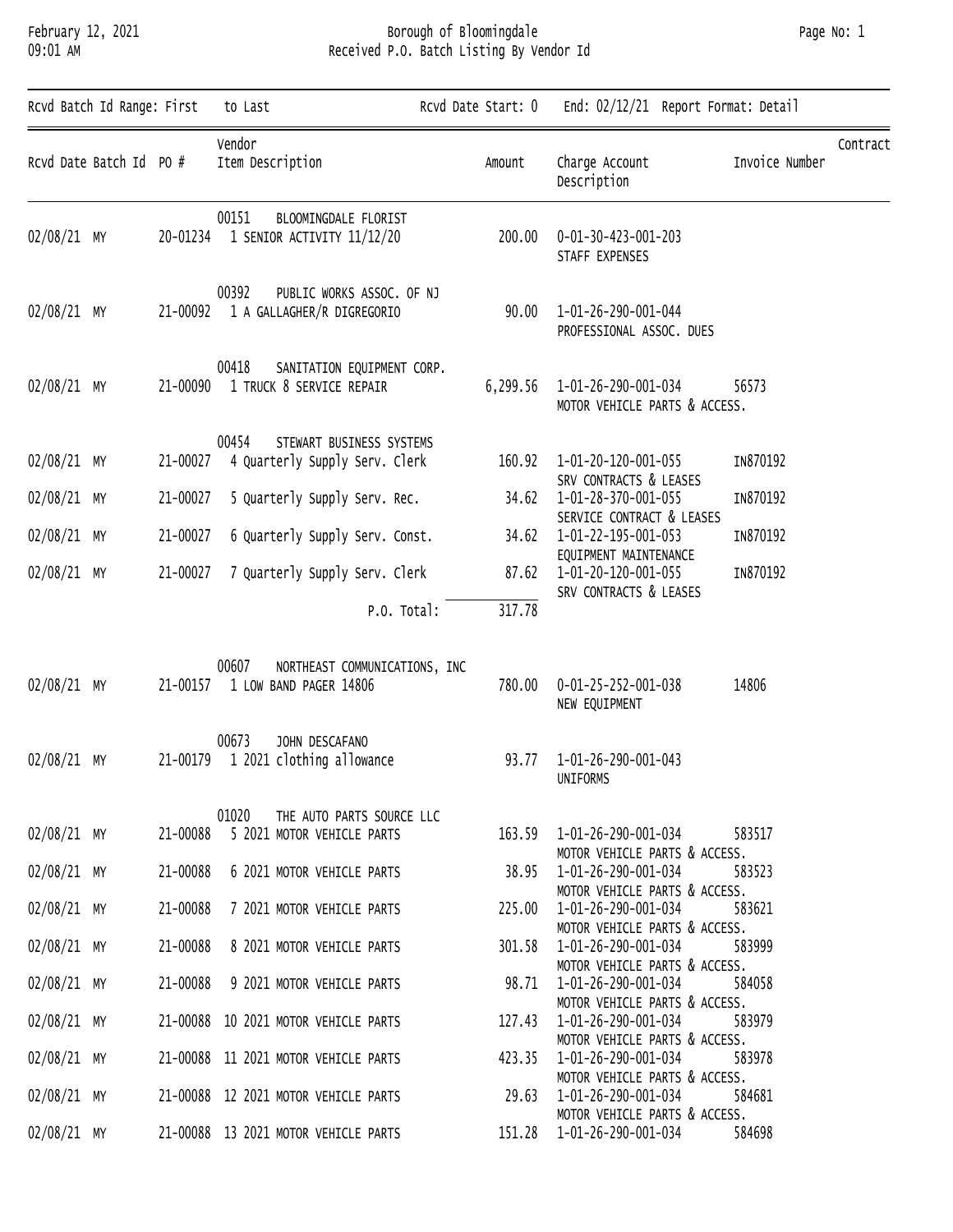### February 12, 2021 Borough of Bloomingdale Page No: 1 09:01 AM Received P.O. Batch Listing By Vendor Id

| Rcvd Batch Id Range: First<br>to Last |          | Rcvd Date Start: 0                                                        | End: 02/12/21 Report Format: Detail |                                                                                       |                            |  |
|---------------------------------------|----------|---------------------------------------------------------------------------|-------------------------------------|---------------------------------------------------------------------------------------|----------------------------|--|
| Rcvd Date Batch Id PO #               |          | Vendor<br>Item Description                                                | Amount                              | Charge Account<br>Description                                                         | Contract<br>Invoice Number |  |
| 02/08/21 MY                           |          | 00151<br>BLOOMINGDALE FLORIST<br>20-01234 1 SENIOR ACTIVITY 11/12/20      | 200.00                              | 0-01-30-423-001-203<br>STAFF EXPENSES                                                 |                            |  |
| 02/08/21 MY                           | 21-00092 | 00392<br>PUBLIC WORKS ASSOC. OF NJ<br>1 A GALLAGHER/R DIGREGORIO          | 90.00                               | 1-01-26-290-001-044<br>PROFESSIONAL ASSOC. DUES                                       |                            |  |
| 02/08/21 MY                           | 21-00090 | 00418<br>SANITATION EQUIPMENT CORP.<br>1 TRUCK 8 SERVICE REPAIR           |                                     | 6,299.56 1-01-26-290-001-034<br>MOTOR VEHICLE PARTS & ACCESS.                         | 56573                      |  |
| 02/08/21 MY                           | 21-00027 | STEWART BUSINESS SYSTEMS<br>00454<br>4 Quarterly Supply Serv. Clerk       |                                     | 160.92  1-01-20-120-001-055<br>SRV CONTRACTS & LEASES                                 | IN870192                   |  |
| 02/08/21 MY                           | 21-00027 | 5 Quarterly Supply Serv. Rec.                                             |                                     | 34.62  1-01-28-370-001-055                                                            | IN870192                   |  |
| 02/08/21 MY                           | 21-00027 | 6 Quarterly Supply Serv. Const.                                           |                                     | SERVICE CONTRACT & LEASES<br>34.62  1-01-22-195-001-053                               | IN870192                   |  |
| 02/08/21 MY                           | 21-00027 | 7 Quarterly Supply Serv. Clerk                                            |                                     | EQUIPMENT MAINTENANCE<br>87.62  1-01-20-120-001-055<br>SRV CONTRACTS & LEASES         | IN870192                   |  |
|                                       |          | P.O. Total:                                                               | 317.78                              |                                                                                       |                            |  |
| 02/08/21 MY                           | 21-00157 | 00607<br>NORTHEAST COMMUNICATIONS, INC<br>1 LOW BAND PAGER 14806          | 780.00                              | 0-01-25-252-001-038<br>NEW EQUIPMENT                                                  | 14806                      |  |
| 02/08/21 MY                           | 21-00179 | 00673<br>JOHN DESCAFANO<br>1 2021 clothing allowance                      |                                     | 93.77  1-01-26-290-001-043<br>UNIFORMS                                                |                            |  |
| 02/08/21 MY                           |          | 01020<br>THE AUTO PARTS SOURCE LLC<br>21-00088 5 2021 MOTOR VEHICLE PARTS |                                     | 163.59 1-01-26-290-001-034<br>MOTOR VEHICLE PARTS & ACCESS.                           | 583517                     |  |
| 02/08/21 MY                           | 21-00088 | 6 2021 MOTOR VEHICLE PARTS                                                | 38.95                               | 1-01-26-290-001-034                                                                   | 583523                     |  |
| 02/08/21 MY                           | 21-00088 | 7 2021 MOTOR VEHICLE PARTS                                                | 225.00                              | MOTOR VEHICLE PARTS & ACCESS.<br>1-01-26-290-001-034                                  | 583621                     |  |
| 02/08/21 MY                           | 21-00088 | 8 2021 MOTOR VEHICLE PARTS                                                | 301.58                              | MOTOR VEHICLE PARTS & ACCESS.<br>1-01-26-290-001-034<br>MOTOR VEHICLE PARTS & ACCESS. | 583999                     |  |
| 02/08/21 MY                           | 21-00088 | 9 2021 MOTOR VEHICLE PARTS                                                | 98.71                               | 1-01-26-290-001-034                                                                   | 584058                     |  |
| 02/08/21 MY                           |          | 21-00088 10 2021 MOTOR VEHICLE PARTS                                      | 127.43                              | MOTOR VEHICLE PARTS & ACCESS.<br>1-01-26-290-001-034<br>MOTOR VEHICLE PARTS & ACCESS. | 583979                     |  |
| 02/08/21 MY                           |          | 21-00088 11 2021 MOTOR VEHICLE PARTS                                      | 423.35                              | 1-01-26-290-001-034<br>MOTOR VEHICLE PARTS & ACCESS.                                  | 583978                     |  |
| $02/08/21$ MY                         |          | 21-00088 12 2021 MOTOR VEHICLE PARTS                                      | 29.63                               | 1-01-26-290-001-034                                                                   | 584681                     |  |
| 02/08/21 MY                           |          | 21-00088 13 2021 MOTOR VEHICLE PARTS                                      |                                     | MOTOR VEHICLE PARTS & ACCESS.<br>151.28  1-01-26-290-001-034                          | 584698                     |  |
|                                       |          |                                                                           |                                     |                                                                                       |                            |  |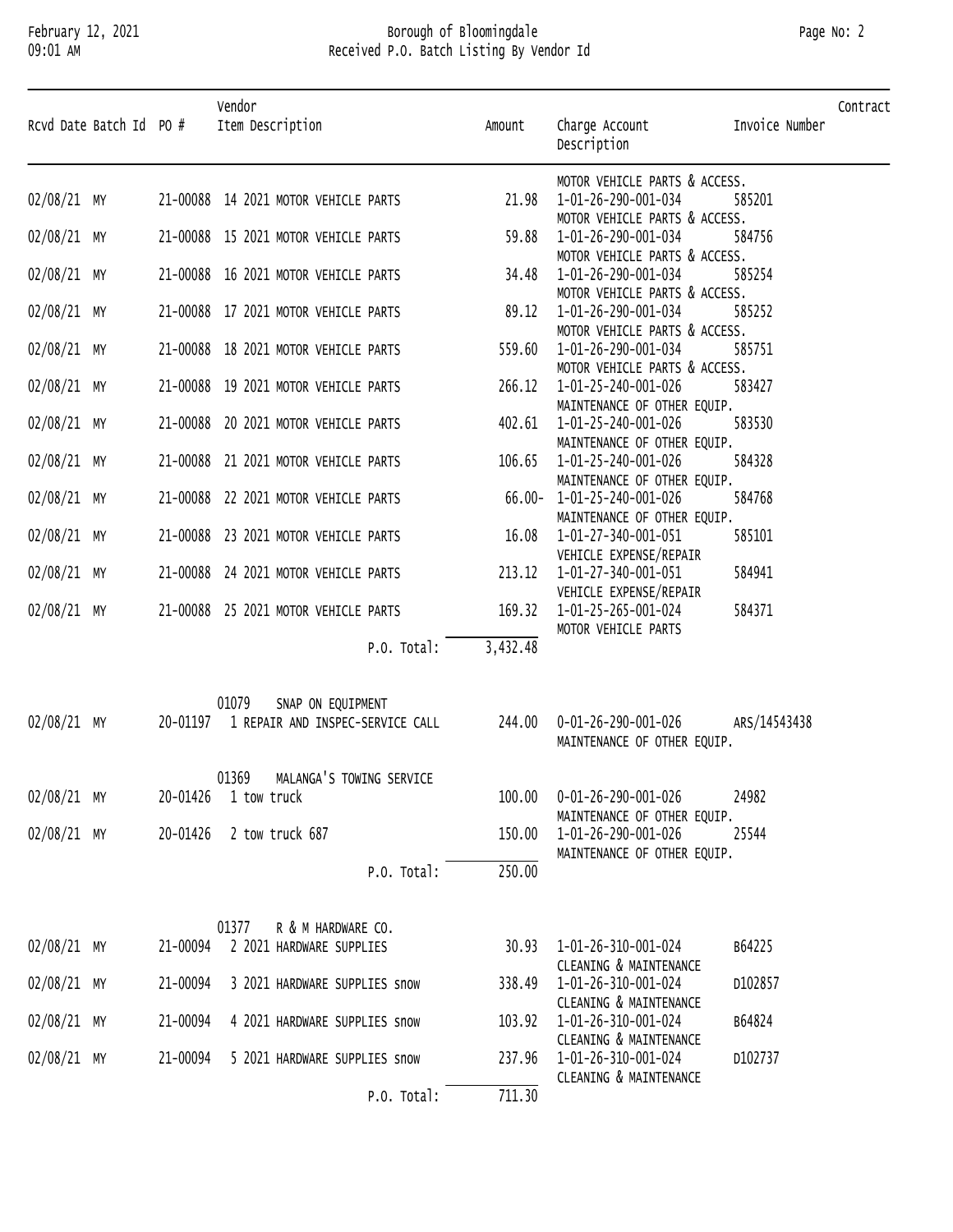#### February 12, 2021 Borough of Bloomingdale Page No: 2 09:01 AM Received P.O. Batch Listing By Vendor Id

| Page No: 2 |  |  |
|------------|--|--|
|------------|--|--|

| Rcvd Date Batch Id PO # |          | Vendor<br>Item Description                                              | Amount              | Charge Account<br>Description                              | Invoice Number | Contract |
|-------------------------|----------|-------------------------------------------------------------------------|---------------------|------------------------------------------------------------|----------------|----------|
| 02/08/21 MY             |          | 21-00088 14 2021 MOTOR VEHICLE PARTS                                    | 21.98               | MOTOR VEHICLE PARTS & ACCESS.<br>1-01-26-290-001-034       | 585201         |          |
|                         |          |                                                                         |                     | MOTOR VEHICLE PARTS & ACCESS.                              |                |          |
| 02/08/21 MY             |          | 21-00088 15 2021 MOTOR VEHICLE PARTS                                    | 59.88               | 1-01-26-290-001-034                                        | 584756         |          |
| 02/08/21 MY             |          | 21-00088 16 2021 MOTOR VEHICLE PARTS                                    | 34.48               | MOTOR VEHICLE PARTS & ACCESS.<br>1-01-26-290-001-034       | 585254         |          |
|                         |          |                                                                         |                     | MOTOR VEHICLE PARTS & ACCESS.                              |                |          |
| 02/08/21 MY             |          | 21-00088 17 2021 MOTOR VEHICLE PARTS                                    | 89.12               | 1-01-26-290-001-034                                        | 585252         |          |
| 02/08/21 MY             |          | 21-00088 18 2021 MOTOR VEHICLE PARTS                                    | 559.60              | MOTOR VEHICLE PARTS & ACCESS.<br>1-01-26-290-001-034       | 585751         |          |
|                         |          |                                                                         |                     | MOTOR VEHICLE PARTS & ACCESS.                              |                |          |
| 02/08/21 MY             |          | 21-00088 19 2021 MOTOR VEHICLE PARTS                                    |                     | 266.12  1-01-25-240-001-026                                | 583427         |          |
| 02/08/21 MY             |          | 21-00088 20 2021 MOTOR VEHICLE PARTS                                    |                     | MAINTENANCE OF OTHER EQUIP.<br>402.61  1-01-25-240-001-026 | 583530         |          |
|                         |          |                                                                         |                     | MAINTENANCE OF OTHER EQUIP.                                |                |          |
| 02/08/21 MY             |          | 21-00088 21 2021 MOTOR VEHICLE PARTS                                    | 106.65              | 1-01-25-240-001-026                                        | 584328         |          |
| 02/08/21 MY             |          | 21-00088 22 2021 MOTOR VEHICLE PARTS                                    |                     | MAINTENANCE OF OTHER EQUIP.<br>66.00-1-01-25-240-001-026   | 584768         |          |
|                         |          |                                                                         |                     | MAINTENANCE OF OTHER EQUIP.                                |                |          |
| 02/08/21 MY             |          | 21-00088 23 2021 MOTOR VEHICLE PARTS                                    | 16.08               | 1-01-27-340-001-051                                        | 585101         |          |
|                         |          |                                                                         |                     | VEHICLE EXPENSE/REPAIR                                     |                |          |
| 02/08/21 MY             |          | 21-00088 24 2021 MOTOR VEHICLE PARTS                                    |                     | 213.12  1-01-27-340-001-051<br>VEHICLE EXPENSE/REPAIR      | 584941         |          |
| 02/08/21 MY             |          | 21-00088 25 2021 MOTOR VEHICLE PARTS                                    |                     | 169.32  1-01-25-265-001-024                                | 584371         |          |
|                         |          | P.O. Total:                                                             | 3,432.48            | MOTOR VEHICLE PARTS                                        |                |          |
|                         |          |                                                                         |                     |                                                            |                |          |
|                         |          |                                                                         |                     |                                                            |                |          |
| 02/08/21 MY             |          | 01079<br>SNAP ON EQUIPMENT<br>20-01197 1 REPAIR AND INSPEC-SERVICE CALL |                     | 244.00  0-01-26-290-001-026                                | ARS/14543438   |          |
|                         |          |                                                                         |                     | MAINTENANCE OF OTHER EQUIP.                                |                |          |
|                         |          |                                                                         |                     |                                                            |                |          |
| 02/08/21 MY             |          | 01369 MALANGA'S TOWING SERVICE<br>20-01426 1 tow truck                  | 100.00              | 0-01-26-290-001-026                                        | 24982          |          |
|                         |          |                                                                         |                     | MAINTENANCE OF OTHER EQUIP.                                |                |          |
| $02/08/21$ MY           | 20-01426 | 2 tow truck 687                                                         | 150.00              | 1-01-26-290-001-026                                        | 25544          |          |
|                         |          | P.O. Total:                                                             | 250.00              | MAINTENANCE OF OTHER EQUIP.                                |                |          |
|                         |          |                                                                         |                     |                                                            |                |          |
|                         |          | R & M HARDWARE CO.<br>01377                                             |                     |                                                            |                |          |
| 02/08/21 MY             | 21-00094 | 2 2021 HARDWARE SUPPLIES                                                |                     | 30.93 1-01-26-310-001-024                                  | B64225         |          |
|                         |          |                                                                         |                     | CLEANING & MAINTENANCE                                     |                |          |
| 02/08/21 MY             | 21-00094 | 3 2021 HARDWARE SUPPLIES SNOW                                           | 338.49              | 1-01-26-310-001-024<br>CLEANING & MAINTENANCE              | D102857        |          |
| 02/08/21 MY             | 21-00094 | 4 2021 HARDWARE SUPPLIES SNOW                                           | 103.92              | 1-01-26-310-001-024                                        | B64824         |          |
|                         |          |                                                                         |                     | CLEANING & MAINTENANCE                                     |                |          |
| $02/08/21$ MY           | 21-00094 | 5 2021 HARDWARE SUPPLIES SNOW                                           | 237.96              | 1-01-26-310-001-024<br>CLEANING & MAINTENANCE              | D102737        |          |
|                         |          | P.O. Total:                                                             | $\overline{7}11.30$ |                                                            |                |          |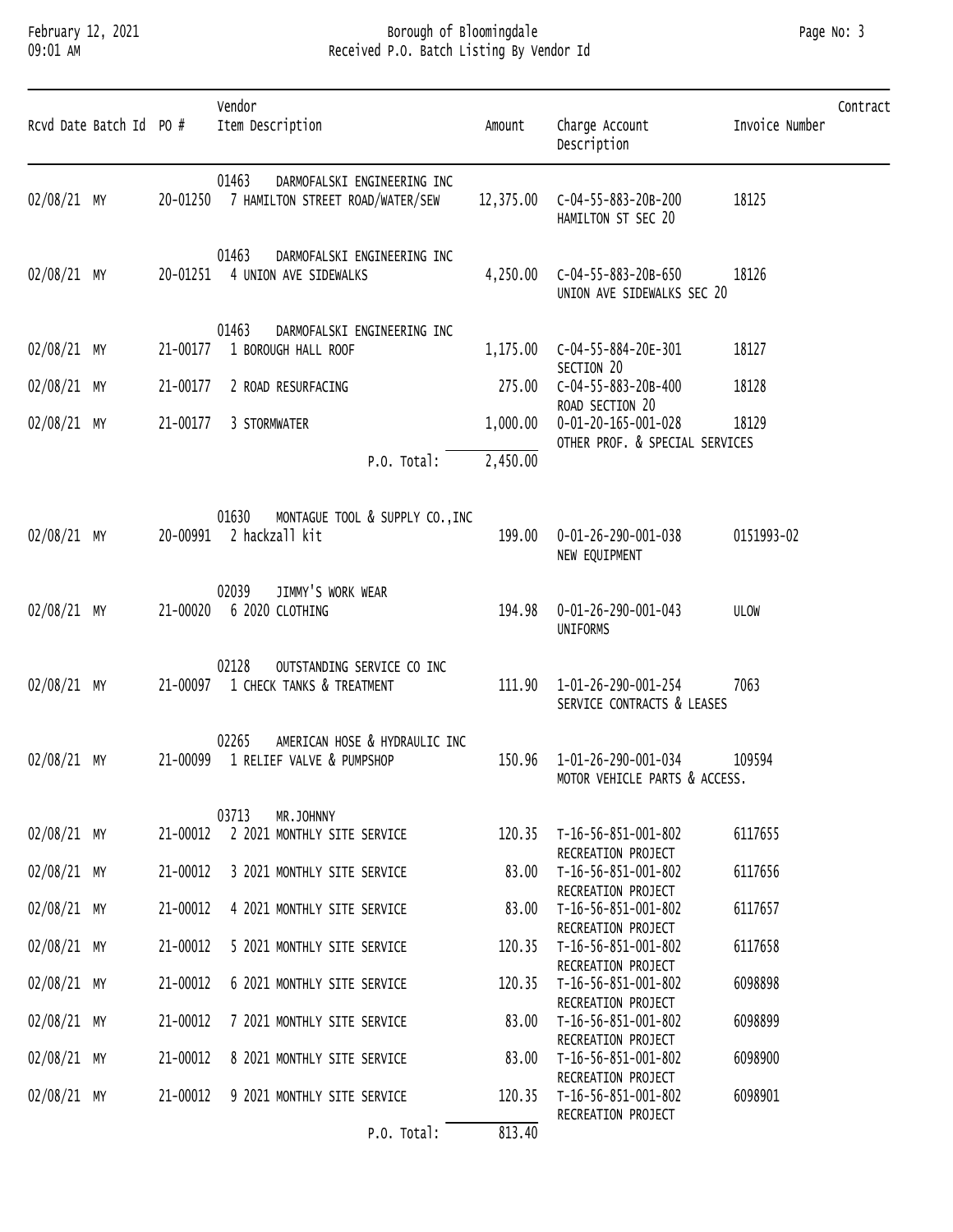#### February 12, 2021 Borough of Bloomingdale Page No: 3 09:01 AM Received P.O. Batch Listing By Vendor Id

| Rcvd Date Batch Id PO # |          | Vendor<br>Item Description                                               | Amount    | Charge Account<br>Description                                            | Invoice Number | Contract |
|-------------------------|----------|--------------------------------------------------------------------------|-----------|--------------------------------------------------------------------------|----------------|----------|
| 02/08/21 MY             | 20-01250 | 01463<br>DARMOFALSKI ENGINEERING INC<br>7 HAMILTON STREET ROAD/WATER/SEW | 12,375.00 | C-04-55-883-20B-200<br>HAMILTON ST SEC 20                                | 18125          |          |
| 02/08/21 MY             |          | 01463<br>DARMOFALSKI ENGINEERING INC<br>20-01251 4 UNION AVE SIDEWALKS   | 4,250.00  | C-04-55-883-20B-650<br>UNION AVE SIDEWALKS SEC 20                        | 18126          |          |
| 02/08/21 MY             | 21-00177 | 01463<br>DARMOFALSKI ENGINEERING INC<br>1 BOROUGH HALL ROOF              | 1,175.00  | C-04-55-884-20E-301<br>SECTION 20                                        | 18127          |          |
| 02/08/21 MY             | 21-00177 | 2 ROAD RESURFACING                                                       | 275.00    | C-04-55-883-20B-400                                                      | 18128          |          |
| 02/08/21 MY             | 21-00177 | 3 STORMWATER                                                             | 1,000.00  | ROAD SECTION 20<br>0-01-20-165-001-028<br>OTHER PROF. & SPECIAL SERVICES | 18129          |          |
|                         |          | P.O. Total:                                                              | 2,450.00  |                                                                          |                |          |
| 02/08/21 MY             |          | MONTAGUE TOOL & SUPPLY CO., INC<br>01630<br>20-00991 2 hackzall kit      | 199.00    | 0-01-26-290-001-038<br>NEW EQUIPMENT                                     | 0151993-02     |          |
| 02/08/21 MY             | 21-00020 | JIMMY'S WORK WEAR<br>02039<br>6 2020 CLOTHING                            | 194.98    | 0-01-26-290-001-043<br><b>UNIFORMS</b>                                   | ULOW           |          |
| 02/08/21 MY             | 21-00097 | 02128<br>OUTSTANDING SERVICE CO INC<br>1 CHECK TANKS & TREATMENT         | 111.90    | 1-01-26-290-001-254<br>SERVICE CONTRACTS & LEASES                        | 7063           |          |
| 02/08/21 MY             | 21-00099 | 02265<br>AMERICAN HOSE & HYDRAULIC INC<br>1 RELIEF VALVE & PUMPSHOP      | 150.96    | 1-01-26-290-001-034<br>MOTOR VEHICLE PARTS & ACCESS.                     | 109594         |          |
|                         |          | 03713<br>MR.JOHNNY                                                       |           |                                                                          |                |          |
| 02/08/21 MY             | 21-00012 | 2 2021 MONTHLY SITE SERVICE                                              |           | 120.35 T-16-56-851-001-802<br>RECREATION PROJECT                         | 6117655        |          |
| 02/08/21 MY             | 21-00012 | 3 2021 MONTHLY SITE SERVICE                                              | 83.00     | T-16-56-851-001-802                                                      | 6117656        |          |
| 02/08/21 MY             | 21-00012 | 4 2021 MONTHLY SITE SERVICE                                              | 83.00     | RECREATION PROJECT<br>T-16-56-851-001-802<br>RECREATION PROJECT          | 6117657        |          |
| 02/08/21 MY             | 21-00012 | 5 2021 MONTHLY SITE SERVICE                                              | 120.35    | T-16-56-851-001-802                                                      | 6117658        |          |
| 02/08/21 MY             | 21-00012 | 6 2021 MONTHLY SITE SERVICE                                              | 120.35    | RECREATION PROJECT<br>T-16-56-851-001-802                                | 6098898        |          |
| 02/08/21 MY             | 21-00012 | 7 2021 MONTHLY SITE SERVICE                                              | 83.00     | RECREATION PROJECT<br>T-16-56-851-001-802                                | 6098899        |          |
| 02/08/21 MY             | 21-00012 | 8 2021 MONTHLY SITE SERVICE                                              | 83.00     | RECREATION PROJECT<br>T-16-56-851-001-802                                | 6098900        |          |
| 02/08/21 MY             | 21-00012 | 9 2021 MONTHLY SITE SERVICE                                              |           | RECREATION PROJECT<br>120.35 T-16-56-851-001-802<br>RECREATION PROJECT   | 6098901        |          |
|                         |          |                                                                          |           |                                                                          |                |          |

P.O. Total: 813.40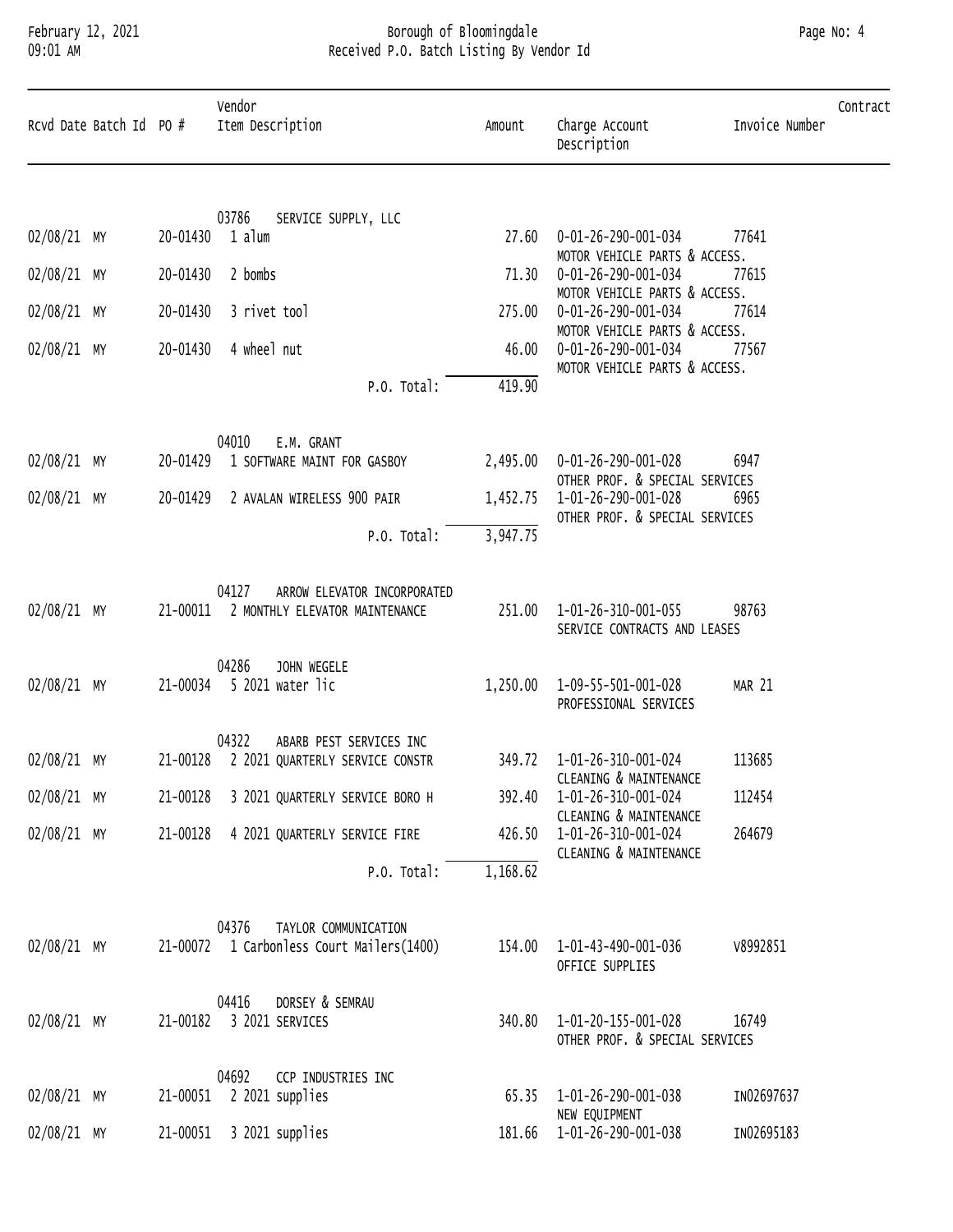# February 12, 2021 Borough of Bloomingdale Page No: 4 09:01 AM Received P.O. Batch Listing By Vendor Id

| Rcvd Date Batch Id PO # |          | Vendor<br>Item Description                                                      | Amount   | Charge Account<br>Description                         | Invoice Number | Contract |
|-------------------------|----------|---------------------------------------------------------------------------------|----------|-------------------------------------------------------|----------------|----------|
|                         |          | 03786<br>SERVICE SUPPLY, LLC                                                    |          |                                                       |                |          |
| 02/08/21 MY             |          | 20-01430 1 alum                                                                 | 27.60    | 0-01-26-290-001-034<br>MOTOR VEHICLE PARTS & ACCESS.  | 77641          |          |
| 02/08/21 MY             | 20-01430 | 2 bombs                                                                         | 71.30    | 0-01-26-290-001-034<br>MOTOR VEHICLE PARTS & ACCESS.  | 77615          |          |
| $02/08/21$ MY           | 20-01430 | 3 rivet tool                                                                    | 275.00   | 0-01-26-290-001-034                                   | 77614          |          |
| 02/08/21 MY             | 20-01430 | 4 wheel nut                                                                     | 46.00    | MOTOR VEHICLE PARTS & ACCESS.<br>0-01-26-290-001-034  | 77567          |          |
|                         |          | P.O. Total:                                                                     | 419.90   | MOTOR VEHICLE PARTS & ACCESS.                         |                |          |
|                         |          | 04010<br>E.M. GRANT                                                             |          |                                                       |                |          |
| 02/08/21 MY             | 20-01429 | 1 SOFTWARE MAINT FOR GASBOY                                                     | 2,495.00 | 0-01-26-290-001-028<br>OTHER PROF. & SPECIAL SERVICES | 6947           |          |
| 02/08/21 MY             | 20-01429 | 2 AVALAN WIRELESS 900 PAIR                                                      | 1,452.75 | 1-01-26-290-001-028<br>OTHER PROF. & SPECIAL SERVICES | 6965           |          |
|                         |          | P.O. Total:                                                                     | 3,947.75 |                                                       |                |          |
| 02/08/21 MY             |          | 04127<br>ARROW ELEVATOR INCORPORATED<br>21-00011 2 MONTHLY ELEVATOR MAINTENANCE | 251.00   | 1-01-26-310-001-055<br>SERVICE CONTRACTS AND LEASES   | 98763          |          |
| 02/08/21 MY             | 21-00034 | 04286<br>JOHN WEGELE<br>5 2021 water lic                                        | 1,250.00 | 1-09-55-501-001-028<br>PROFESSIONAL SERVICES          | MAR 21         |          |
|                         |          | 04322<br>ABARB PEST SERVICES INC                                                |          | 349.72  1-01-26-310-001-024                           | 113685         |          |
| 02/08/21 MY             |          | 21-00128 2 2021 QUARTERLY SERVICE CONSTR                                        |          | CLEANING & MAINTENANCE                                |                |          |
| 02/08/21 MY             | 21-00128 | 3 2021 QUARTERLY SERVICE BORO H                                                 | 392.40   | 1-01-26-310-001-024<br>CLEANING & MAINTENANCE         | 112454         |          |
| 02/08/21 MY             | 21-00128 | 4 2021 QUARTERLY SERVICE FIRE                                                   | 426.50   | 1-01-26-310-001-024<br>CLEANING & MAINTENANCE         | 264679         |          |
|                         |          | P.O. Total:                                                                     | 1,168.62 |                                                       |                |          |
| 02/08/21 MY             |          | 04376<br>TAYLOR COMMUNICATION<br>21-00072 1 Carbonless Court Mailers(1400)      | 154.00   | 1-01-43-490-001-036<br>OFFICE SUPPLIES                | V8992851       |          |
| 02/08/21 MY             | 21-00182 | 04416<br>DORSEY & SEMRAU<br>3 2021 SERVICES                                     | 340.80   | 1-01-20-155-001-028<br>OTHER PROF. & SPECIAL SERVICES | 16749          |          |
|                         |          | 04692<br>CCP INDUSTRIES INC                                                     |          |                                                       |                |          |
| 02/08/21 MY             | 21-00051 | 2 2021 supplies                                                                 | 65.35    | 1-01-26-290-001-038<br>NEW EQUIPMENT                  | IN02697637     |          |
| 02/08/21 MY             | 21-00051 | 3 2021 supplies                                                                 | 181.66   | 1-01-26-290-001-038                                   | IN02695183     |          |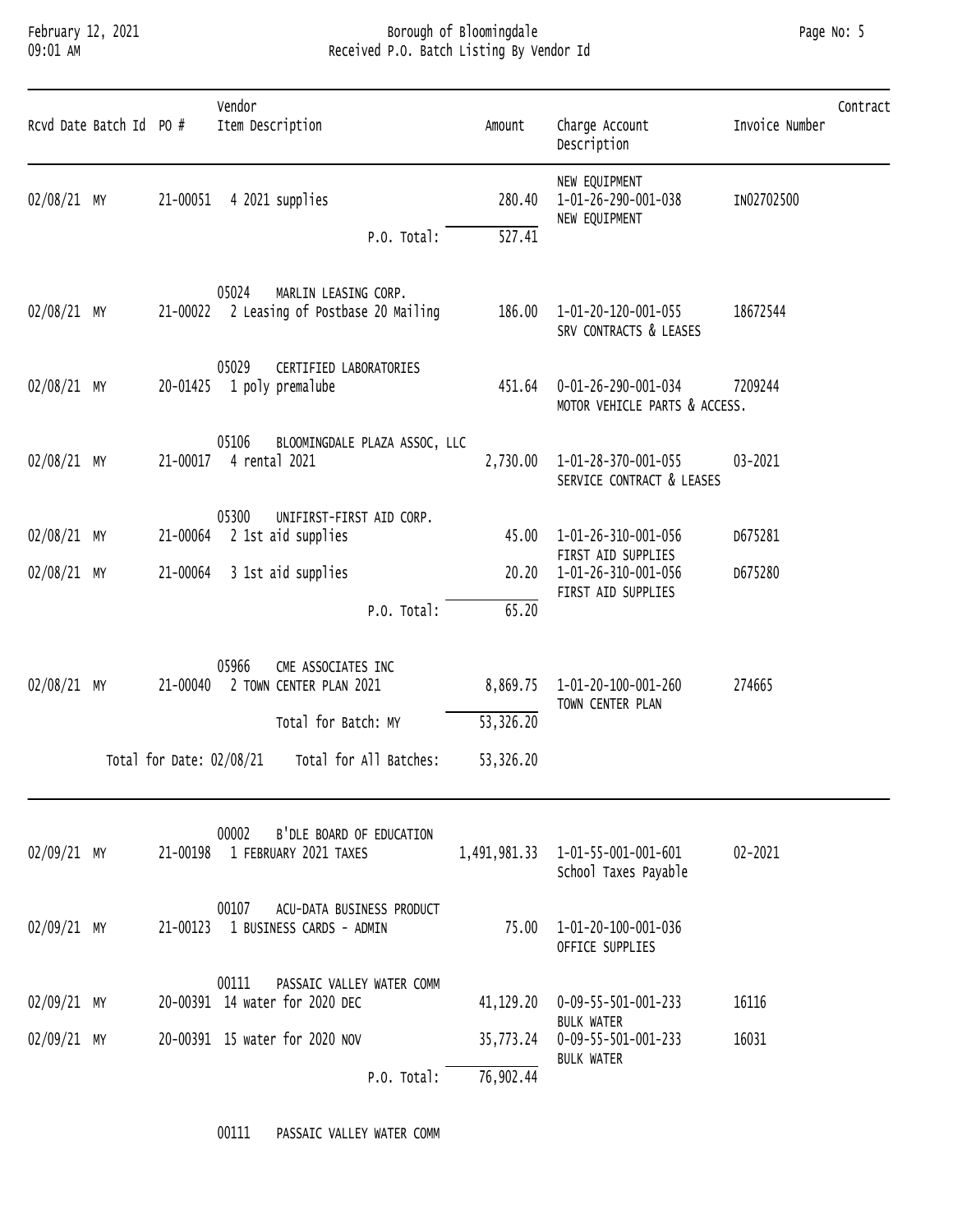### February 12, 2021 Borough of Bloomingdale Page No: 5 09:01 AM Received P.O. Batch Listing By Vendor Id

|             | Rcvd Date Batch Id PO # |                                      | vendor<br>Item Description                                                                              | Amount                             | Charge Account<br>Description                             | CONTRACT<br>Invoice Number |
|-------------|-------------------------|--------------------------------------|---------------------------------------------------------------------------------------------------------|------------------------------------|-----------------------------------------------------------|----------------------------|
| 02/08/21 MY |                         | 21-00051                             | 4 2021 supplies<br>P.O. Total:                                                                          | 280.40<br>527.41                   | NEW EQUIPMENT<br>1-01-26-290-001-038<br>NEW EQUIPMENT     | IN02702500                 |
| 02/08/21 MY |                         |                                      | 05024<br>MARLIN LEASING CORP.<br>21-00022 2 Leasing of Postbase 20 Mailing                              | 186.00                             | 1-01-20-120-001-055<br>SRV CONTRACTS & LEASES             | 18672544                   |
| 02/08/21 MY |                         |                                      | 05029<br>CERTIFIED LABORATORIES<br>20-01425 1 poly premalube                                            | 451.64                             | 0-01-26-290-001-034<br>MOTOR VEHICLE PARTS & ACCESS.      | 7209244                    |
| 02/08/21 MY |                         | 21-00017                             | 05106<br>BLOOMINGDALE PLAZA ASSOC, LLC<br>4 rental 2021                                                 | 2,730.00                           | 1-01-28-370-001-055<br>SERVICE CONTRACT & LEASES          | 03-2021                    |
| 02/08/21 MY |                         |                                      | 05300<br>UNIFIRST-FIRST AID CORP.<br>21-00064 2 1st aid supplies                                        | 45.00                              | 1-01-26-310-001-056<br>FIRST AID SUPPLIES                 | D675281                    |
| 02/08/21 MY |                         |                                      | 21-00064 3 1st aid supplies<br>P.O. Total:                                                              | 20.20<br>65.20                     | 1-01-26-310-001-056<br>FIRST AID SUPPLIES                 | D675280                    |
| 02/08/21 MY |                         | 21-00040<br>Total for Date: 02/08/21 | 05966<br>CME ASSOCIATES INC<br>2 TOWN CENTER PLAN 2021<br>Total for Batch: MY<br>Total for All Batches: | 8,869.75<br>53,326.20<br>53,326.20 | 1-01-20-100-001-260<br>TOWN CENTER PLAN                   | 274665                     |
| 02/09/21 MY |                         |                                      | 00002<br>B'DLE BOARD OF EDUCATION<br>21-00198 1 FEBRUARY 2021 TAXES                                     |                                    | 1,491,981.33  1-01-55-001-001-601<br>School Taxes Payable | 02-2021                    |
| 02/09/21 MY |                         |                                      | 00107<br>ACU-DATA BUSINESS PRODUCT<br>21-00123 1 BUSINESS CARDS - ADMIN                                 |                                    | 75.00  1-01-20-100-001-036<br>OFFICE SUPPLIES             |                            |
| 02/09/21 MY |                         |                                      | 00111<br>PASSAIC VALLEY WATER COMM<br>20-00391 14 water for 2020 DEC                                    | 41,129.20                          | 0-09-55-501-001-233<br><b>BULK WATER</b>                  | 16116                      |
| 02/09/21 MY |                         |                                      | 20-00391 15 water for 2020 NOV<br>P.O. Total:                                                           | 35,773.24<br>76,902.44             | 0-09-55-501-001-233<br><b>BULK WATER</b>                  | 16031                      |

00111 PASSAIC VALLEY WATER COMM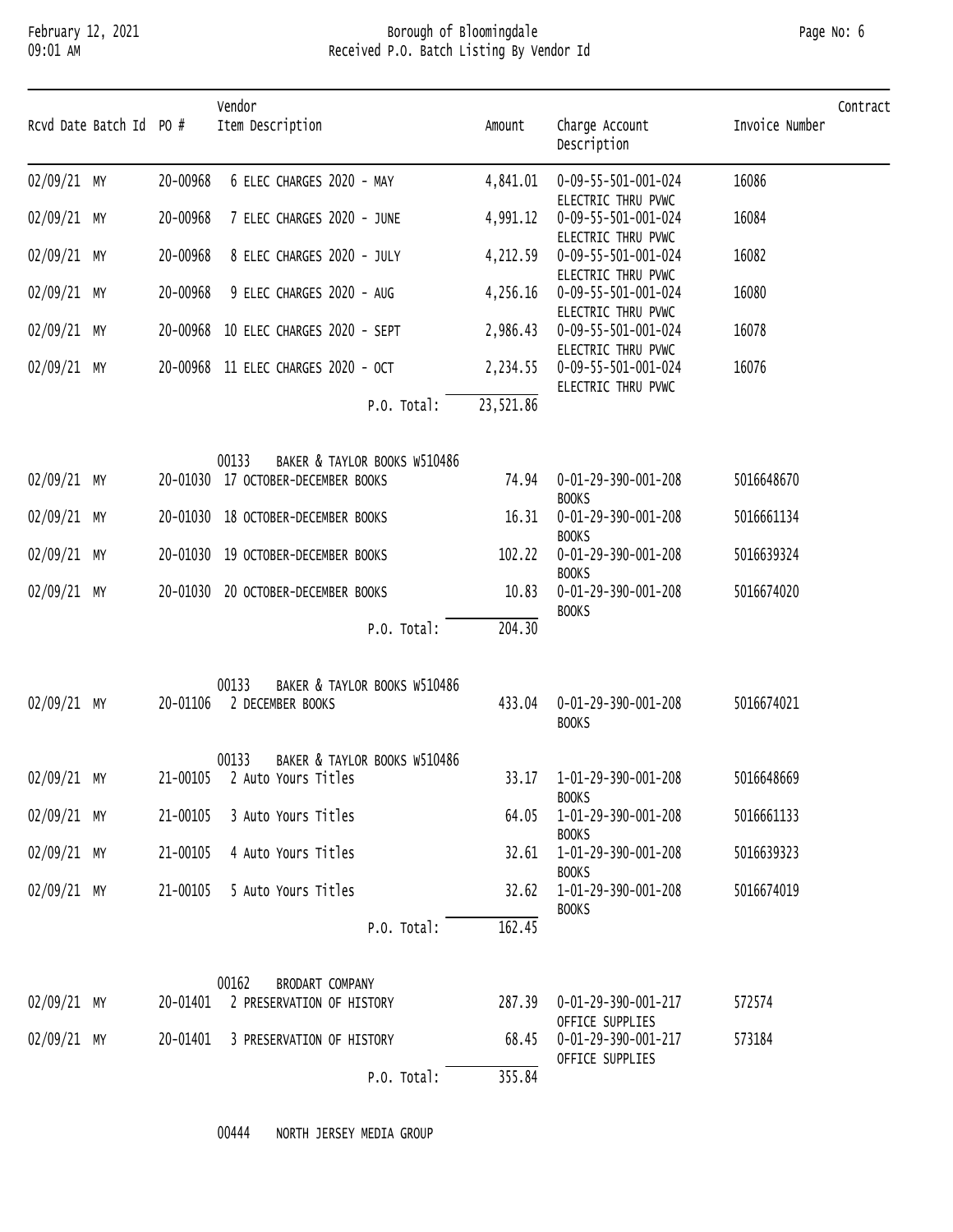### February 12, 2021 Borough of Bloomingdale Page No: 6 09:01 AM Received P.O. Batch Listing By Vendor Id

| Page No: 6 |  |  |
|------------|--|--|
|------------|--|--|

| Rcvd Date Batch Id PO # |          | Vendor<br>Item Description            | Amount    | Charge Account                                      | Contract<br>Invoice Number |
|-------------------------|----------|---------------------------------------|-----------|-----------------------------------------------------|----------------------------|
|                         |          |                                       |           | Description                                         |                            |
| 02/09/21 MY             | 20-00968 | 6 ELEC CHARGES 2020 - MAY             | 4,841.01  | 0-09-55-501-001-024<br>ELECTRIC THRU PVWC           | 16086                      |
| 02/09/21 MY             | 20-00968 | 7 ELEC CHARGES 2020 - JUNE            | 4,991.12  | 0-09-55-501-001-024<br>ELECTRIC THRU PVWC           | 16084                      |
| 02/09/21 MY             | 20-00968 | 8 ELEC CHARGES 2020 - JULY            | 4,212.59  | 0-09-55-501-001-024<br>ELECTRIC THRU PVWC           | 16082                      |
| 02/09/21 MY             | 20-00968 | 9 ELEC CHARGES 2020 - AUG             | 4,256.16  | 0-09-55-501-001-024<br>ELECTRIC THRU PVWC           | 16080                      |
| 02/09/21 MY             |          | 20-00968 10 ELEC CHARGES 2020 - SEPT  | 2,986.43  | 0-09-55-501-001-024<br>ELECTRIC THRU PVWC           | 16078                      |
| 02/09/21 MY             |          | 20-00968 11 ELEC CHARGES 2020 - OCT   |           | 2,234.55  0-09-55-501-001-024<br>ELECTRIC THRU PVWC | 16076                      |
|                         |          | P.O. Total:                           | 23,521.86 |                                                     |                            |
|                         |          | 00133<br>BAKER & TAYLOR BOOKS W510486 |           |                                                     |                            |
| 02/09/21 MY             |          | 20-01030 17 OCTOBER-DECEMBER BOOKS    | 74.94     | 0-01-29-390-001-208<br><b>BOOKS</b>                 | 5016648670                 |
| 02/09/21 MY             |          | 20-01030 18 OCTOBER-DECEMBER BOOKS    | 16.31     | 0-01-29-390-001-208<br><b>BOOKS</b>                 | 5016661134                 |
| 02/09/21 MY             |          | 20-01030 19 OCTOBER-DECEMBER BOOKS    | 102.22    | 0-01-29-390-001-208<br><b>BOOKS</b>                 | 5016639324                 |
| 02/09/21 MY             |          | 20-01030 20 OCTOBER-DECEMBER BOOKS    | 10.83     | 0-01-29-390-001-208<br><b>BOOKS</b>                 | 5016674020                 |
|                         |          | P.O. Total:                           | 204.30    |                                                     |                            |
|                         |          | 00133<br>BAKER & TAYLOR BOOKS W510486 |           |                                                     |                            |
| 02/09/21 MY             |          | 20-01106 2 DECEMBER BOOKS             | 433.04    | 0-01-29-390-001-208<br><b>BOOKS</b>                 | 5016674021                 |
|                         |          | 00133<br>BAKER & TAYLOR BOOKS W510486 |           |                                                     |                            |
| 02/09/21 MY             |          | 21-00105 2 Auto Yours Titles          |           | 33.17  1-01-29-390-001-208<br><b>BOOKS</b>          | 5016648669                 |
| 02/09/21 MY             |          | 21-00105 3 Auto Yours Titles          | 64.05     | 1-01-29-390-001-208<br><b>BOOKS</b>                 | 5016661133                 |
| 02/09/21 MY             | 21-00105 | 4 Auto Yours Titles                   |           | 32.61  1-01-29-390-001-208<br><b>BOOKS</b>          | 5016639323                 |
| 02/09/21 MY             |          | 21-00105 5 Auto Yours Titles          |           | 32.62  1-01-29-390-001-208<br><b>BOOKS</b>          | 5016674019                 |
|                         |          | P.O. Total:                           | 162.45    |                                                     |                            |
|                         |          | 00162<br>BRODART COMPANY              |           |                                                     |                            |
| 02/09/21 MY             |          | 20-01401 2 PRESERVATION OF HISTORY    |           | 287.39  0-01-29-390-001-217<br>OFFICE SUPPLIES      | 572574                     |
| $02/09/21$ MY           |          | 20-01401 3 PRESERVATION OF HISTORY    | 68.45     | 0-01-29-390-001-217<br>OFFICE SUPPLIES              | 573184                     |
|                         |          | P.O. Total:                           | 355.84    |                                                     |                            |

00444 NORTH JERSEY MEDIA GROUP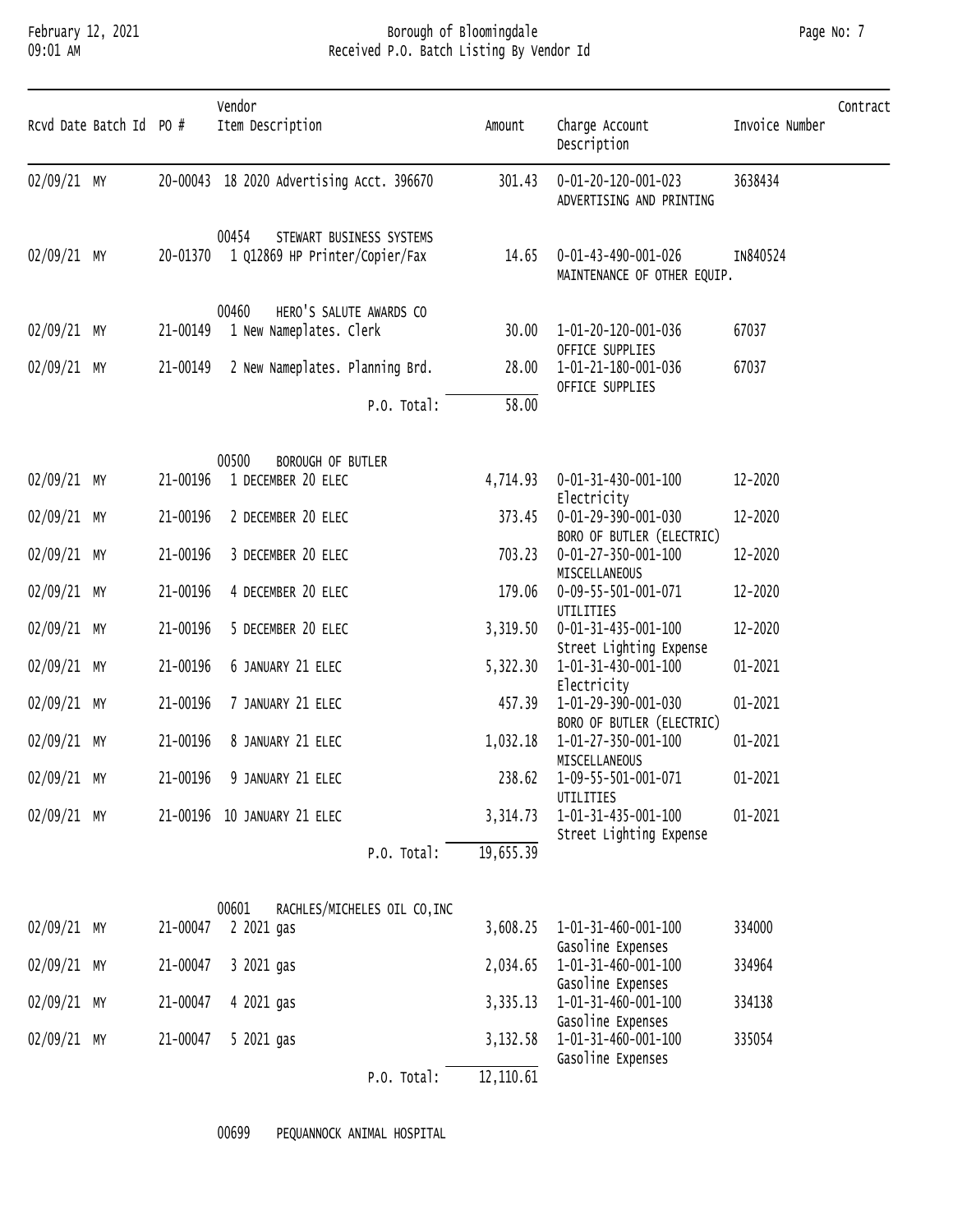#### February 12, 2021 Borough of Bloomingdale Page No: 7 09:01 AM Received P.O. Batch Listing By Vendor Id

| Rcvd Date Batch Id PO # |          | Vendor<br>Item Description                                                   | Amount     | Charge Account<br>Description                      | Invoice Number | Contract |
|-------------------------|----------|------------------------------------------------------------------------------|------------|----------------------------------------------------|----------------|----------|
| 02/09/21 MY             |          | 20-00043 18 2020 Advertising Acct. 396670                                    | 301.43     | 0-01-20-120-001-023<br>ADVERTISING AND PRINTING    | 3638434        |          |
| 02/09/21 MY             |          | 00454<br>STEWART BUSINESS SYSTEMS<br>20-01370 1 Q12869 HP Printer/Copier/Fax | 14.65      | 0-01-43-490-001-026<br>MAINTENANCE OF OTHER EQUIP. | IN840524       |          |
| 02/09/21 MY             | 21-00149 | 00460<br>HERO'S SALUTE AWARDS CO<br>1 New Nameplates. Clerk                  | 30.00      | 1-01-20-120-001-036<br>OFFICE SUPPLIES             | 67037          |          |
| 02/09/21 MY             | 21-00149 | 2 New Nameplates. Planning Brd.                                              | 28.00      | 1-01-21-180-001-036<br>OFFICE SUPPLIES             | 67037          |          |
|                         |          | P.O. Total:                                                                  | 58.00      |                                                    |                |          |
|                         |          | 00500<br>BOROUGH OF BUTLER                                                   |            |                                                    |                |          |
| 02/09/21 MY             | 21-00196 | 1 DECEMBER 20 ELEC                                                           | 4,714.93   | 0-01-31-430-001-100<br>Electricity                 | 12-2020        |          |
| 02/09/21 MY             | 21-00196 | 2 DECEMBER 20 ELEC                                                           | 373.45     | 0-01-29-390-001-030<br>BORO OF BUTLER (ELECTRIC)   | 12-2020        |          |
| 02/09/21 MY             | 21-00196 | 3 DECEMBER 20 ELEC                                                           | 703.23     | 0-01-27-350-001-100<br>MISCELLANEOUS               | 12-2020        |          |
| 02/09/21 MY             | 21-00196 | 4 DECEMBER 20 ELEC                                                           | 179.06     | 0-09-55-501-001-071<br>UTILITIES                   | 12-2020        |          |
| 02/09/21 MY             | 21-00196 | 5 DECEMBER 20 ELEC                                                           | 3,319.50   | 0-01-31-435-001-100<br>Street Lighting Expense     | 12-2020        |          |
| 02/09/21 MY             | 21-00196 | 6 JANUARY 21 ELEC                                                            | 5,322.30   | 1-01-31-430-001-100<br>Electricity                 | 01-2021        |          |
| 02/09/21 MY             | 21-00196 | 7 JANUARY 21 ELEC                                                            | 457.39     | 1-01-29-390-001-030                                | 01-2021        |          |
| 02/09/21 MY             | 21-00196 | 8 JANUARY 21 ELEC                                                            | 1,032.18   | BORO OF BUTLER (ELECTRIC)<br>1-01-27-350-001-100   | 01-2021        |          |
| 02/09/21 MY             |          | 21-00196 9 JANUARY 21 ELEC                                                   |            | MISCELLANEOUS<br>238.62 1-09-55-501-001-071        | $01 - 2021$    |          |
| 02/09/21 MY             |          | 21-00196 10 JANUARY 21 ELEC                                                  | 3, 314.73  | UTILITIES<br>1-01-31-435-001-100                   | 01-2021        |          |
|                         |          | P.O. Total:                                                                  | 19,655.39  | Street Lighting Expense                            |                |          |
|                         |          | 00601<br>RACHLES/MICHELES OIL CO, INC                                        |            |                                                    |                |          |
| 02/09/21 MY             | 21-00047 | 2 2021 gas                                                                   | 3,608.25   | 1-01-31-460-001-100<br>Gasoline Expenses           | 334000         |          |
| 02/09/21 MY             | 21-00047 | 3 2021 gas                                                                   | 2,034.65   | 1-01-31-460-001-100<br>Gasoline Expenses           | 334964         |          |
| 02/09/21 MY             | 21-00047 | 4 2021 gas                                                                   | 3,335.13   | 1-01-31-460-001-100<br>Gasoline Expenses           | 334138         |          |
| 02/09/21 MY             | 21-00047 | 5 2021 gas                                                                   | 3,132.58   | 1-01-31-460-001-100                                | 335054         |          |
|                         |          | P.O. Total:                                                                  | 12, 110.61 | Gasoline Expenses                                  |                |          |

00699 PEQUANNOCK ANIMAL HOSPITAL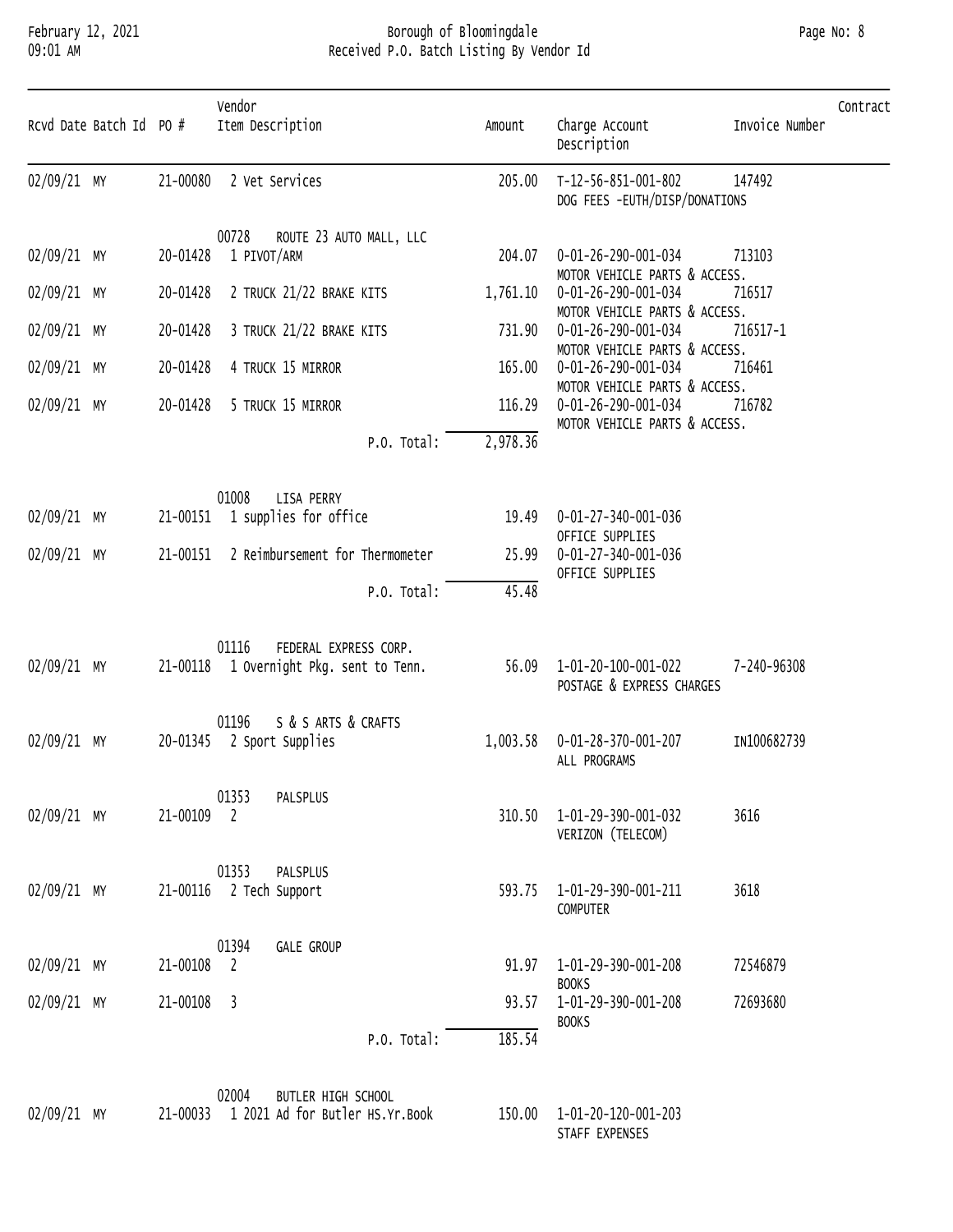#### February 12, 2021 Borough of Bloomingdale Page No: 8 09:01 AM Received P.O. Batch Listing By Vendor Id

| Rcvd Date Batch Id PO # |            | Vendor<br>Item Description                                                | Amount   | Charge Account<br>Description                           | Invoice Number | Contract |
|-------------------------|------------|---------------------------------------------------------------------------|----------|---------------------------------------------------------|----------------|----------|
| 02/09/21 MY             |            | 21-00080 2 Vet Services                                                   | 205.00   | T-12-56-851-001-802<br>DOG FEES -EUTH/DISP/DONATIONS    | 147492         |          |
| 02/09/21 MY             | 20-01428   | 00728<br>ROUTE 23 AUTO MALL, LLC<br>1 PIVOT/ARM                           | 204.07   | 0-01-26-290-001-034<br>MOTOR VEHICLE PARTS & ACCESS.    | 713103         |          |
| 02/09/21 MY             | 20-01428   | 2 TRUCK 21/22 BRAKE KITS                                                  | 1,761.10 | 0-01-26-290-001-034<br>MOTOR VEHICLE PARTS & ACCESS.    | 716517         |          |
| 02/09/21 MY             | 20-01428   | 3 TRUCK 21/22 BRAKE KITS                                                  | 731.90   | 0-01-26-290-001-034<br>MOTOR VEHICLE PARTS & ACCESS.    | 716517-1       |          |
| 02/09/21 MY             | 20-01428   | 4 TRUCK 15 MIRROR                                                         | 165.00   | 0-01-26-290-001-034<br>MOTOR VEHICLE PARTS & ACCESS.    | 716461         |          |
| 02/09/21 MY             | 20-01428   | 5 TRUCK 15 MIRROR                                                         | 116.29   | 0-01-26-290-001-034<br>MOTOR VEHICLE PARTS & ACCESS.    | 716782         |          |
|                         |            | P.O. Total:                                                               | 2,978.36 |                                                         |                |          |
| 02/09/21 MY             |            | 01008<br>LISA PERRY<br>21-00151 1 supplies for office                     | 19.49    | 0-01-27-340-001-036<br>OFFICE SUPPLIES                  |                |          |
| 02/09/21 MY             | 21-00151   | 2 Reimbursement for Thermometer                                           | 25.99    | 0-01-27-340-001-036<br>OFFICE SUPPLIES                  |                |          |
|                         |            | P.O. Total:                                                               | 45.48    |                                                         |                |          |
| 02/09/21 MY             |            | 01116<br>FEDERAL EXPRESS CORP.<br>21-00118 1 Overnight Pkg. sent to Tenn. |          | 56.09  1-01-20-100-001-022<br>POSTAGE & EXPRESS CHARGES | 7-240-96308    |          |
| $02/09/21$ MY           |            | 01196<br>S & S ARTS & CRAFTS<br>20-01345 2 Sport Supplies                 | 1,003.58 | 0-01-28-370-001-207<br>ALL PROGRAMS                     | IN100682739    |          |
| 02/09/21 MY             | 21-00109 2 | 01353<br>PALSPLUS                                                         |          | 310.50  1-01-29-390-001-032<br>VERIZON (TELECOM)        | 3616           |          |
| 02/09/21 MY             |            | 01353<br>PALSPLUS<br>21-00116 2 Tech Support                              |          | 593.75 1-01-29-390-001-211<br>COMPUTER                  | 3618           |          |
| 02/09/21 MY             | 21-00108 2 | 01394<br><b>GALE GROUP</b>                                                |          | 91.97   1-01-29-390-001-208<br><b>BOOKS</b>             | 72546879       |          |
| 02/09/21 MY             | 21-00108 3 |                                                                           | 93.57    | 1-01-29-390-001-208                                     | 72693680       |          |
|                         |            | P.O. Total:                                                               | 185.54   | <b>BOOKS</b>                                            |                |          |

|             | 02004 | BUTLER HIGH SCHOOL                       |        |                     |
|-------------|-------|------------------------------------------|--------|---------------------|
| 02/09/21 MY |       | 21-00033 1 2021 Ad for Butler HS.Yr.Book | 150.00 | 1-01-20-120-001-203 |

01-20-120-001-203 STAFF EXPENSES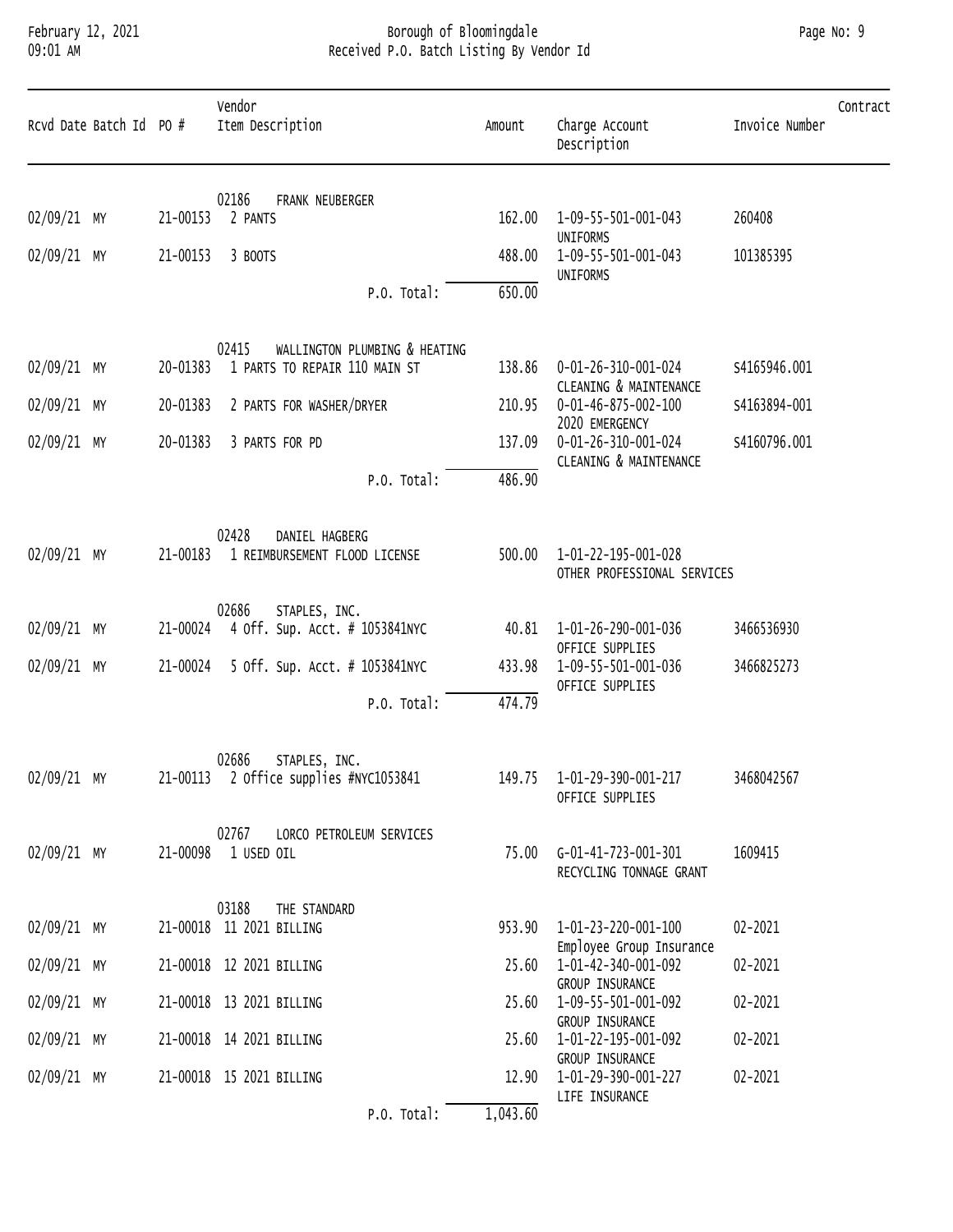### February 12, 2021 Borough of Bloomingdale Page No: 9 09:01 AM Received P.O. Batch Listing By Vendor Id

| Rcvd Date Batch Id PO # |          | Vendor<br>Item Description                                              | Amount   | Charge Account<br>Description                           | Contract<br>Invoice Number |
|-------------------------|----------|-------------------------------------------------------------------------|----------|---------------------------------------------------------|----------------------------|
| 02/09/21 MY             | 21-00153 | 02186<br>FRANK NEUBERGER<br>2 PANTS                                     | 162.00   | 1-09-55-501-001-043                                     | 260408                     |
| 02/09/21 MY             | 21-00153 | 3 BOOTS                                                                 | 488.00   | UNIFORMS<br>1-09-55-501-001-043                         | 101385395                  |
|                         |          | P.O. Total:                                                             | 650.00   | UNIFORMS                                                |                            |
| 02/09/21 MY             | 20-01383 | 02415<br>WALLINGTON PLUMBING & HEATING<br>1 PARTS TO REPAIR 110 MAIN ST | 138.86   | 0-01-26-310-001-024                                     | S4165946.001               |
| 02/09/21 MY             | 20-01383 | 2 PARTS FOR WASHER/DRYER                                                | 210.95   | CLEANING & MAINTENANCE<br>0-01-46-875-002-100           | S4163894-001               |
| 02/09/21 MY             | 20-01383 | 3 PARTS FOR PD                                                          | 137.09   | 2020 EMERGENCY<br>0-01-26-310-001-024                   | S4160796.001               |
|                         |          | P.O. Total:                                                             | 486.90   | CLEANING & MAINTENANCE                                  |                            |
| 02/09/21 MY             | 21-00183 | 02428<br>DANIEL HAGBERG<br>1 REIMBURSEMENT FLOOD LICENSE                | 500.00   | 1-01-22-195-001-028<br>OTHER PROFESSIONAL SERVICES      |                            |
| 02/09/21 MY             | 21-00024 | 02686<br>STAPLES, INC.<br>4 Off. Sup. Acct. # 1053841NYC                | 40.81    | 1-01-26-290-001-036<br>OFFICE SUPPLIES                  | 3466536930                 |
| 02/09/21 MY             | 21-00024 | 5 Off. Sup. Acct. # 1053841NYC                                          | 433.98   | 1-09-55-501-001-036                                     | 3466825273                 |
|                         |          | P.O. Total:                                                             | 474.79   | OFFICE SUPPLIES                                         |                            |
| 02/09/21 MY             |          | 02686<br>STAPLES, INC.<br>21-00113 2 Office supplies #NYC1053841        |          | 149.75  1-01-29-390-001-217<br>OFFICE SUPPLIES          | 3468042567                 |
| 02/09/21 MY             |          | 02767<br>LORCO PETROLEUM SERVICES<br>21-00098 1 USED OIL                |          | 75.00    G-01-41-723-001-301<br>RECYCLING TONNAGE GRANT | 1609415                    |
| 02/09/21 MY             |          | 03188<br>THE STANDARD<br>21-00018 11 2021 BILLING                       | 953.90   | 1-01-23-220-001-100<br>Employee Group Insurance         | 02-2021                    |
| 02/09/21 MY             |          | 21-00018 12 2021 BILLING                                                | 25.60    | 1-01-42-340-001-092                                     | 02-2021                    |
| 02/09/21 MY             |          | 21-00018 13 2021 BILLING                                                | 25.60    | GROUP INSURANCE<br>1-09-55-501-001-092                  | 02-2021                    |
| 02/09/21 MY             |          | 21-00018 14 2021 BILLING                                                | 25.60    | GROUP INSURANCE<br>1-01-22-195-001-092                  | 02-2021                    |
| 02/09/21 MY             |          | 21-00018 15 2021 BILLING                                                | 12.90    | GROUP INSURANCE<br>1-01-29-390-001-227                  | 02-2021                    |
|                         |          | P.O. Total:                                                             | 1,043.60 | LIFE INSURANCE                                          |                            |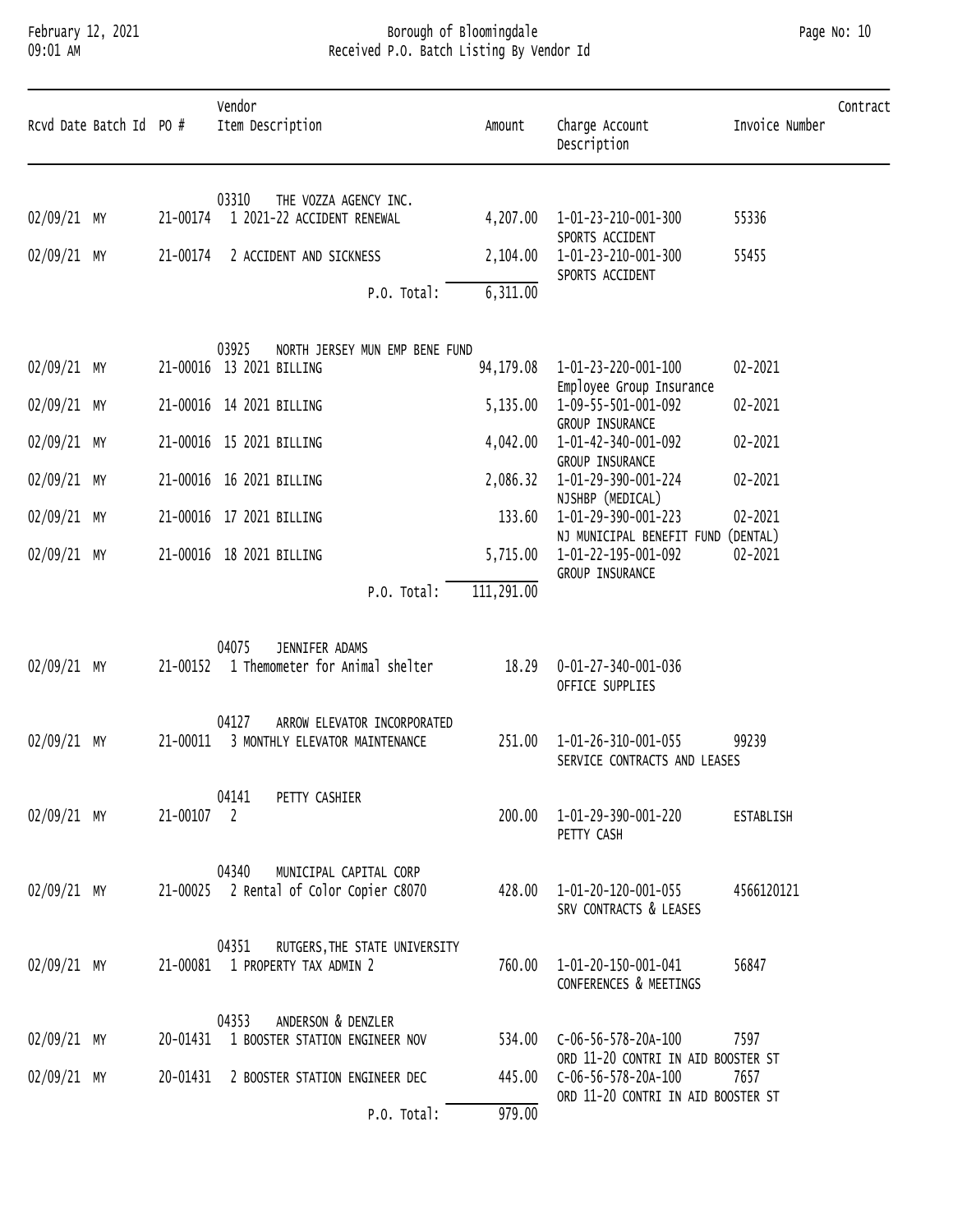# February 12, 2021 Borough of Bloomingdale Page No: 10 09:01 AM Received P.O. Batch Listing By Vendor Id

| Rcvd Date Batch Id PO #    |            | Vendor<br>Item Description                                                 | Amount             | Charge Account<br>Description                                                    | Contract<br>Invoice Number |
|----------------------------|------------|----------------------------------------------------------------------------|--------------------|----------------------------------------------------------------------------------|----------------------------|
| 02/09/21 MY                | 21-00174   | 03310<br>THE VOZZA AGENCY INC.<br>1 2021-22 ACCIDENT RENEWAL               | 4,207.00           | 1-01-23-210-001-300                                                              | 55336                      |
| 02/09/21 MY                | 21-00174   | 2 ACCIDENT AND SICKNESS                                                    | 2,104.00           | SPORTS ACCIDENT<br>1-01-23-210-001-300                                           | 55455                      |
|                            |            | P.O. Total:                                                                | 6,311.00           | SPORTS ACCIDENT                                                                  |                            |
| 02/09/21 MY                |            | 03925<br>NORTH JERSEY MUN EMP BENE FUND<br>21-00016 13 2021 BILLING        | 94,179.08          | 1-01-23-220-001-100                                                              | 02-2021                    |
| 02/09/21 MY                |            | 21-00016 14 2021 BILLING                                                   | 5,135.00           | Employee Group Insurance<br>1-09-55-501-001-092                                  | 02-2021                    |
| 02/09/21 MY                |            | 21-00016 15 2021 BILLING                                                   | 4,042.00           | GROUP INSURANCE<br>1-01-42-340-001-092<br>GROUP INSURANCE                        | 02-2021                    |
| 02/09/21 MY                |            | 21-00016 16 2021 BILLING                                                   | 2,086.32           | 1-01-29-390-001-224<br>NJSHBP (MEDICAL)                                          | 02-2021                    |
| 02/09/21 MY<br>02/09/21 MY |            | 21-00016 17 2021 BILLING<br>21-00016 18 2021 BILLING                       | 133.60<br>5,715.00 | 1-01-29-390-001-223<br>NJ MUNICIPAL BENEFIT FUND (DENTAL)<br>1-01-22-195-001-092 | 02-2021<br>02-2021         |
|                            |            | P.O. Total:                                                                | 111,291.00         | GROUP INSURANCE                                                                  |                            |
| 02/09/21 MY                | 21-00152   | 04075<br>JENNIFER ADAMS<br>1 Themometer for Animal shelter                 | 18.29              | 0-01-27-340-001-036<br>OFFICE SUPPLIES                                           |                            |
| 02/09/21 MY                | 21-00011   | 04127<br>ARROW ELEVATOR INCORPORATED<br>3 MONTHLY ELEVATOR MAINTENANCE     | 251.00             | 1-01-26-310-001-055<br>SERVICE CONTRACTS AND LEASES                              | 99239                      |
| 02/09/21 MY                | 21-00107 2 | 04141<br>PETTY CASHIER                                                     | 200.00             | 1-01-29-390-001-220<br>PETTY CASH                                                | ESTABLISH                  |
| 02/09/21 MY                |            | MUNICIPAL CAPITAL CORP<br>04340<br>21-00025 2 Rental of Color Copier C8070 | 428.00             | 1-01-20-120-001-055<br>SRV CONTRACTS & LEASES                                    | 4566120121                 |
| 02/09/21 MY                |            | 04351<br>RUTGERS, THE STATE UNIVERSITY<br>21-00081 1 PROPERTY TAX ADMIN 2  | 760.00             | 1-01-20-150-001-041<br>CONFERENCES & MEETINGS                                    | 56847                      |
| 02/09/21 MY                |            | ANDERSON & DENZLER<br>04353<br>20-01431 1 BOOSTER STATION ENGINEER NOV     | 534.00             | C-06-56-578-20A-100<br>ORD 11-20 CONTRI IN AID BOOSTER ST                        | 7597                       |
| 02/09/21 MY                | 20-01431   | 2 BOOSTER STATION ENGINEER DEC                                             | 445.00             | C-06-56-578-20A-100<br>ORD 11-20 CONTRI IN AID BOOSTER ST                        | 7657                       |
|                            |            | P.O. Total:                                                                | 979.00             |                                                                                  |                            |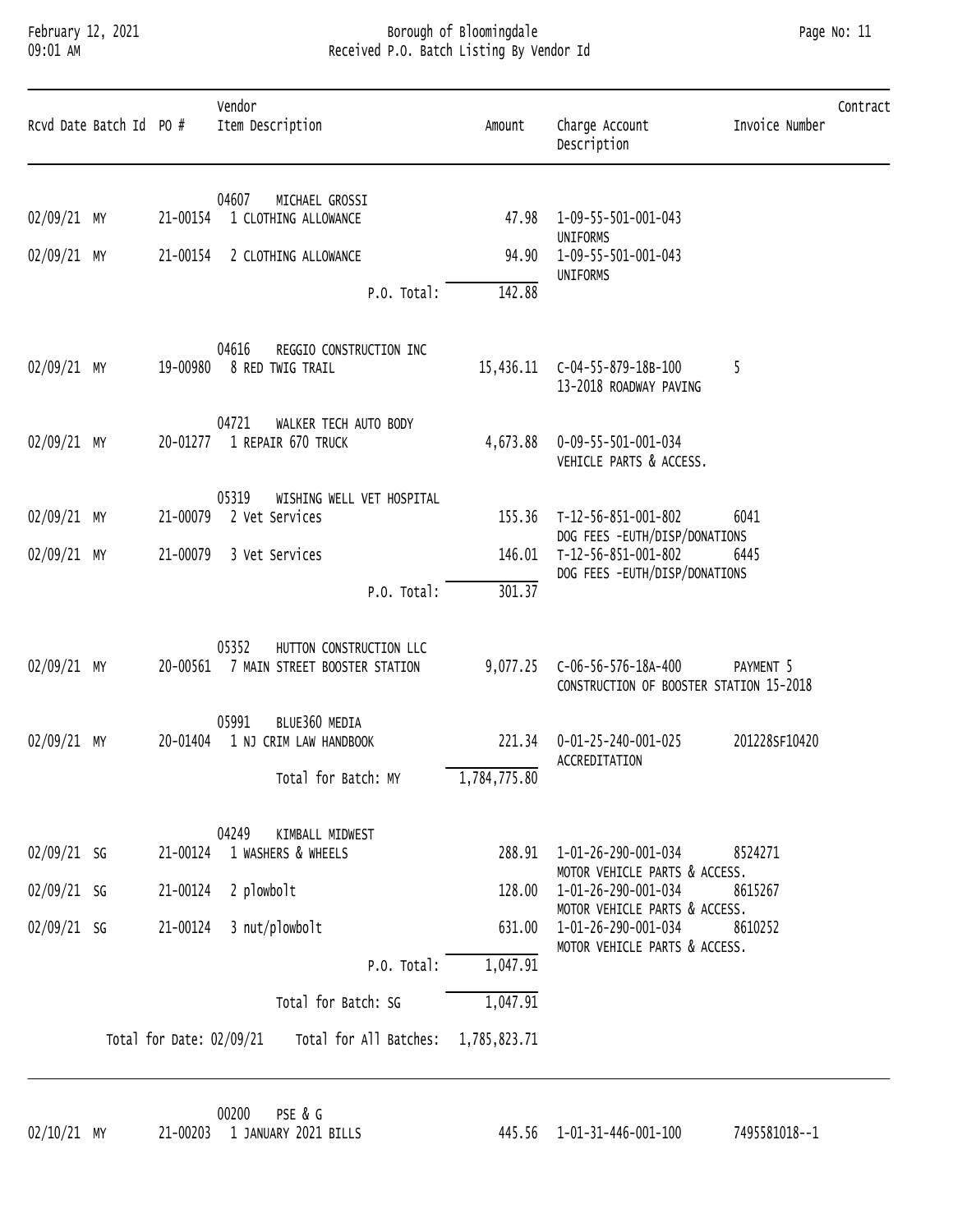# February 12, 2021 Borough of Bloomingdale Page No: 11 09:01 AM Received P.O. Batch Listing By Vendor Id

|             | Rcvd Date Batch Id PO # |                          | Vendor<br>Item Description                                                 | Amount                        | Charge Account<br>Description                                  | Invoice Number | Contract |
|-------------|-------------------------|--------------------------|----------------------------------------------------------------------------|-------------------------------|----------------------------------------------------------------|----------------|----------|
| 02/09/21 MY |                         | 21-00154                 | 04607<br>MICHAEL GROSSI<br>1 CLOTHING ALLOWANCE                            | 47.98                         | 1-09-55-501-001-043                                            |                |          |
| 02/09/21 MY |                         |                          |                                                                            | 94.90                         | UNIFORMS<br>1-09-55-501-001-043                                |                |          |
|             |                         | 21-00154                 | 2 CLOTHING ALLOWANCE                                                       |                               | UNIFORMS                                                       |                |          |
|             |                         |                          | P.O. Total:                                                                | 142.88                        |                                                                |                |          |
| 02/09/21 MY |                         | 19-00980                 | 04616<br>REGGIO CONSTRUCTION INC<br>8 RED TWIG TRAIL                       | 15,436.11                     | C-04-55-879-18B-100<br>13-2018 ROADWAY PAVING                  | -5             |          |
| 02/09/21 MY |                         |                          | 04721<br>WALKER TECH AUTO BODY<br>20-01277 1 REPAIR 670 TRUCK              | 4,673.88                      | 0-09-55-501-001-034<br>VEHICLE PARTS & ACCESS.                 |                |          |
| 02/09/21 MY |                         | 21-00079                 | 05319<br>WISHING WELL VET HOSPITAL<br>2 Vet Services                       | 155.36                        | T-12-56-851-001-802<br>DOG FEES -EUTH/DISP/DONATIONS           | 6041           |          |
| 02/09/21 MY |                         | 21-00079                 | 3 Vet Services                                                             | 146.01                        | T-12-56-851-001-802                                            | 6445           |          |
|             |                         | P.O. Total:              | 301.37                                                                     | DOG FEES -EUTH/DISP/DONATIONS |                                                                |                |          |
| 02/09/21 MY |                         |                          | 05352<br>HUTTON CONSTRUCTION LLC<br>20-00561 7 MAIN STREET BOOSTER STATION | 9,077.25                      | C-06-56-576-18A-400<br>CONSTRUCTION OF BOOSTER STATION 15-2018 | PAYMENT 5      |          |
| 02/09/21 MY |                         | 20-01404                 | 05991<br>BLUE360 MEDIA<br>1 NJ CRIM LAW HANDBOOK<br>Total for Batch: MY    | 221.34<br>1,784,775.80        | 0-01-25-240-001-025<br>ACCREDITATION                           | 201228SF10420  |          |
|             |                         |                          | 04249<br>KIMBALL MIDWEST                                                   |                               |                                                                |                |          |
| 02/09/21 SG |                         |                          | 21-00124 1 WASHERS & WHEELS                                                | 288.91                        | 1-01-26-290-001-034<br>MOTOR VEHICLE PARTS & ACCESS.           | 8524271        |          |
| 02/09/21 SG |                         | 21-00124                 | 2 plowbolt                                                                 | 128.00                        | 1-01-26-290-001-034<br>MOTOR VEHICLE PARTS & ACCESS.           | 8615267        |          |
| 02/09/21 SG |                         | 21-00124                 | 3 nut/plowbolt                                                             | 631.00                        | 1-01-26-290-001-034<br>MOTOR VEHICLE PARTS & ACCESS.           | 8610252        |          |
|             |                         |                          | P.O. Total:                                                                | 1,047.91                      |                                                                |                |          |
|             |                         |                          | Total for Batch: SG                                                        | 1,047.91                      |                                                                |                |          |
|             |                         | Total for Date: 02/09/21 | Total for All Batches: 1,785,823.71                                        |                               |                                                                |                |          |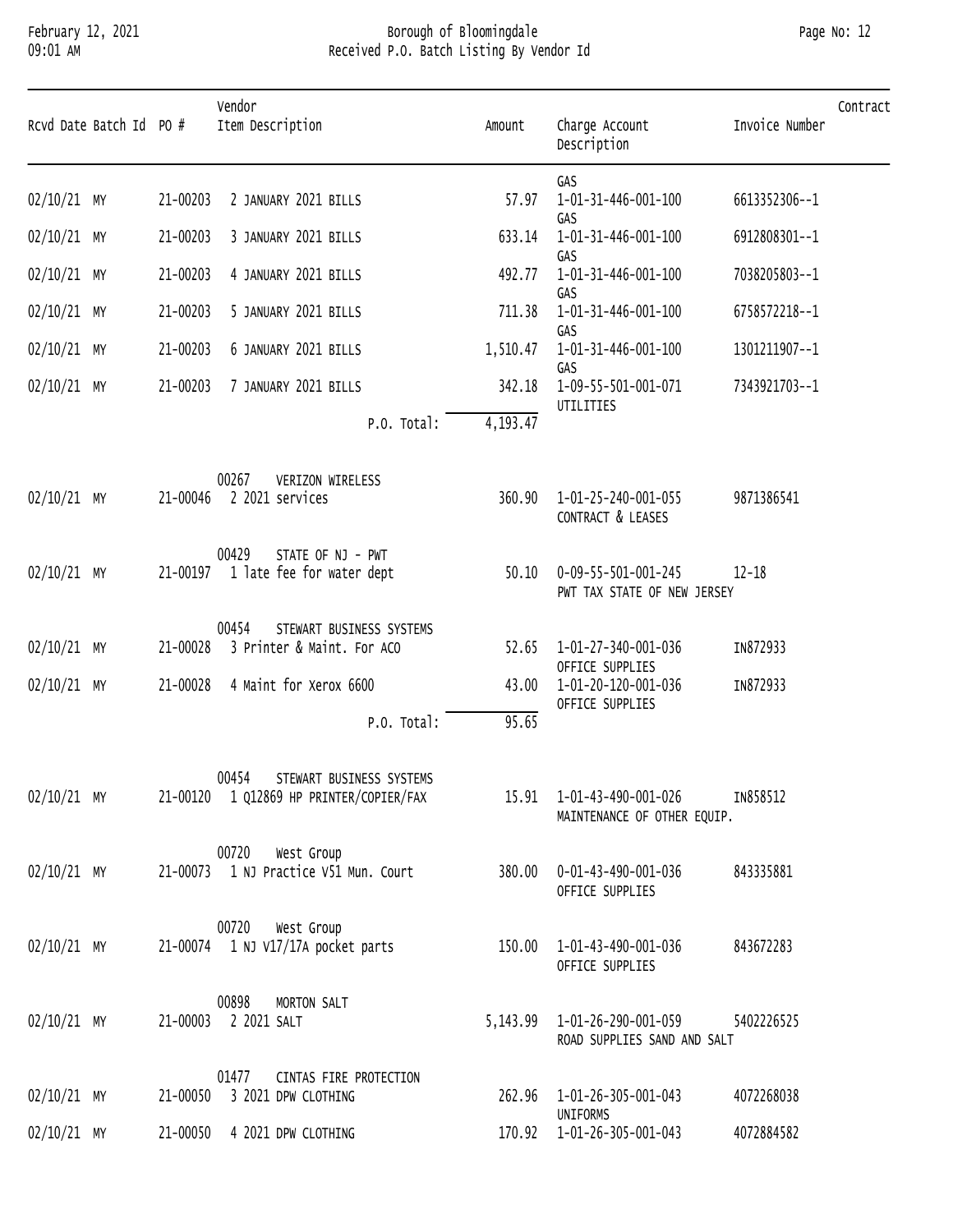### February 12, 2021 Borough of Bloomingdale Page No: 12 09:01 AM Received P.O. Batch Listing By Vendor Id

| Page No: 12 |  |  |
|-------------|--|--|
|-------------|--|--|

| Rcvd Date Batch Id PO # |          | Vendor<br>Item Description                                                   | Amount   | Charge Account<br>Description                                  | Invoice Number | Contract |
|-------------------------|----------|------------------------------------------------------------------------------|----------|----------------------------------------------------------------|----------------|----------|
| $02/10/21$ MY           | 21-00203 | 2 JANUARY 2021 BILLS                                                         | 57.97    | GAS<br>1-01-31-446-001-100                                     | 6613352306--1  |          |
| $02/10/21$ MY           | 21-00203 | 3 JANUARY 2021 BILLS                                                         | 633.14   | GAS<br>1-01-31-446-001-100                                     | 6912808301--1  |          |
| $02/10/21$ MY           | 21-00203 | 4 JANUARY 2021 BILLS                                                         | 492.77   | GAS<br>1-01-31-446-001-100                                     | 7038205803--1  |          |
| $02/10/21$ MY           | 21-00203 | 5 JANUARY 2021 BILLS                                                         | 711.38   | GAS<br>1-01-31-446-001-100                                     | 6758572218--1  |          |
| $02/10/21$ MY           | 21-00203 | 6 JANUARY 2021 BILLS                                                         | 1,510.47 | GAS<br>1-01-31-446-001-100                                     | 1301211907--1  |          |
| $02/10/21$ MY           | 21-00203 | 7 JANUARY 2021 BILLS                                                         | 342.18   | GAS<br>1-09-55-501-001-071                                     | 7343921703--1  |          |
|                         |          | P.O. Total:                                                                  | 4,193.47 | UTILITIES                                                      |                |          |
| $02/10/21$ MY           |          | 00267<br>VERIZON WIRELESS<br>21-00046 2 2021 services                        | 360.90   | 1-01-25-240-001-055<br>CONTRACT & LEASES                       | 9871386541     |          |
| $02/10/21$ MY           |          | 00429<br>STATE OF NJ - PWT<br>21-00197 1 late fee for water dept             | 50.10    | 0-09-55-501-001-245<br>PWT TAX STATE OF NEW JERSEY             | $12 - 18$      |          |
| $02/10/21$ MY           | 21-00028 | STEWART BUSINESS SYSTEMS<br>00454<br>3 Printer & Maint. For ACO              | 52.65    | 1-01-27-340-001-036<br>OFFICE SUPPLIES                         | IN872933       |          |
| $02/10/21$ MY           | 21-00028 | 4 Maint for Xerox 6600                                                       | 43.00    | 1-01-20-120-001-036<br>OFFICE SUPPLIES                         | IN872933       |          |
|                         |          | P.O. Total:                                                                  | 95.65    |                                                                |                |          |
| $02/10/21$ MY           |          | 00454<br>STEWART BUSINESS SYSTEMS<br>21-00120 1 Q12869 HP PRINTER/COPIER/FAX |          | 15.91  1-01-43-490-001-026<br>MAINTENANCE OF OTHER EQUIP.      | IN858512       |          |
| $02/10/21$ MY           |          | 00720<br>West Group<br>21-00073 1 NJ Practice V51 Mun. Court                 | 380.00   | 0-01-43-490-001-036<br>OFFICE SUPPLIES                         | 843335881      |          |
| 02/10/21 MY             |          | 00720<br>West Group<br>21-00074 1 NJ V17/17A pocket parts                    |          | 150.00  1-01-43-490-001-036<br>OFFICE SUPPLIES                 | 843672283      |          |
| $02/10/21$ MY           | 21-00003 | 00898<br>MORTON SALT<br>2 2021 SALT                                          |          | 5, 143.99   1-01-26-290-001-059<br>ROAD SUPPLIES SAND AND SALT | 5402226525     |          |
| $02/10/21$ MY           | 21-00050 | 01477<br>CINTAS FIRE PROTECTION<br>3 2021 DPW CLOTHING                       |          | 262.96 1-01-26-305-001-043                                     | 4072268038     |          |
| $02/10/21$ MY           | 21-00050 | 4 2021 DPW CLOTHING                                                          |          | <b>UNIFORMS</b><br>170.92  1-01-26-305-001-043                 | 4072884582     |          |
|                         |          |                                                                              |          |                                                                |                |          |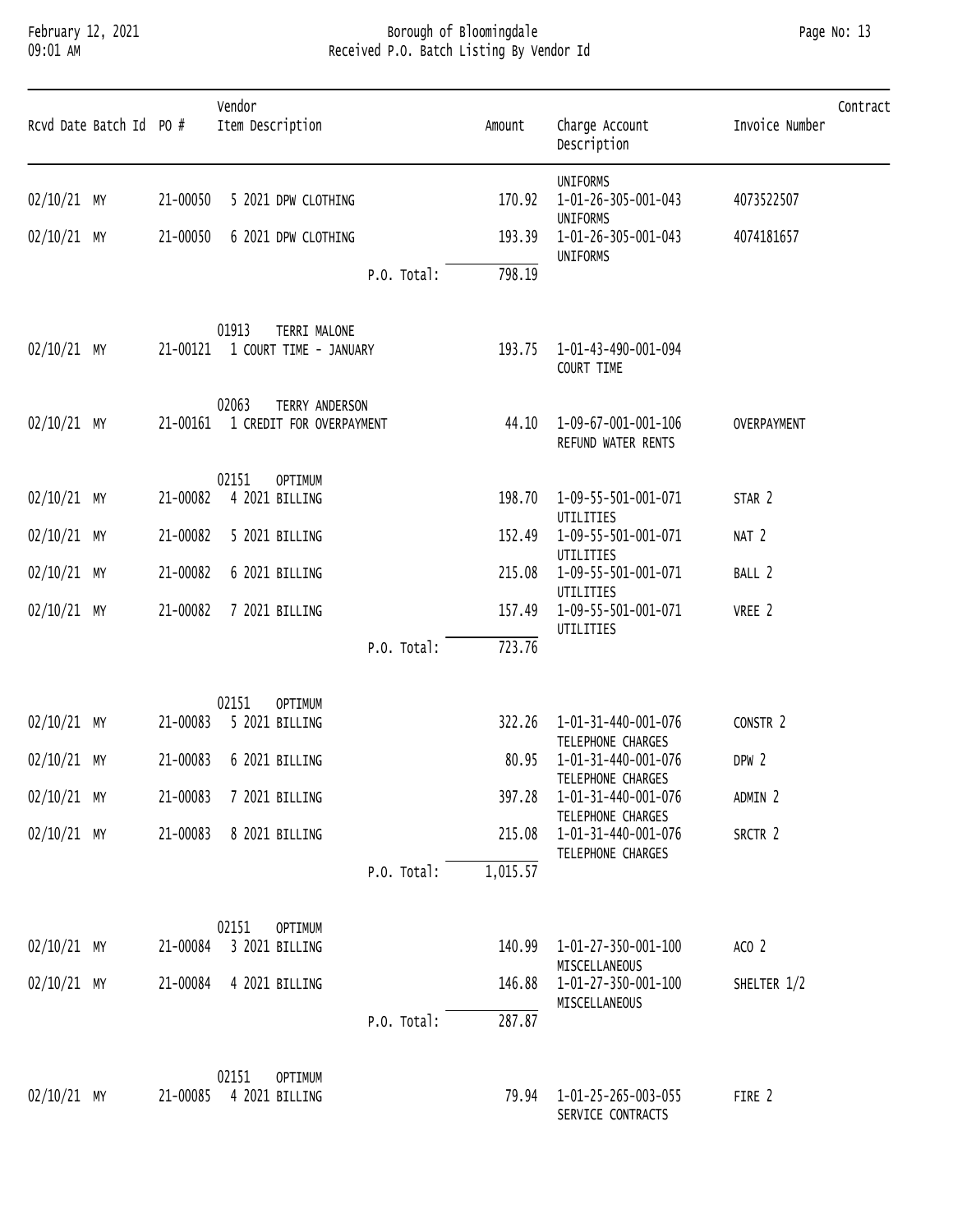### February 12, 2021 Borough of Bloomingdale Page No: 13 09:01 AM Received P.O. Batch Listing By Vendor Id

| Page No: |  | -13 |
|----------|--|-----|
|----------|--|-----|

| Rcvd Date Batch Id PO # |          | Vendor<br>Item Description                          | Amount   | Charge Account<br>Description                    | Contract<br>Invoice Number |
|-------------------------|----------|-----------------------------------------------------|----------|--------------------------------------------------|----------------------------|
| 02/10/21 MY             | 21-00050 | 5 2021 DPW CLOTHING                                 | 170.92   | <b>UNIFORMS</b><br>1-01-26-305-001-043           | 4073522507                 |
| $02/10/21$ MY           | 21-00050 | 6 2021 DPW CLOTHING                                 | 193.39   | <b>UNIFORMS</b><br>1-01-26-305-001-043           | 4074181657                 |
|                         |          | P.O. Total:                                         | 798.19   | UNIFORMS                                         |                            |
| $02/10/21$ MY           | 21-00121 | 01913<br>TERRI MALONE<br>1 COURT TIME - JANUARY     | 193.75   | 1-01-43-490-001-094<br>COURT TIME                |                            |
| $02/10/21$ MY           | 21-00161 | 02063<br>TERRY ANDERSON<br>1 CREDIT FOR OVERPAYMENT | 44.10    | 1-09-67-001-001-106<br>REFUND WATER RENTS        | OVERPAYMENT                |
|                         |          | 02151<br><b>OPTIMUM</b>                             |          |                                                  |                            |
| $02/10/21$ MY           | 21-00082 | 4 2021 BILLING                                      | 198.70   | 1-09-55-501-001-071<br>UTILITIES                 | STAR 2                     |
| $02/10/21$ MY           | 21-00082 | 5 2021 BILLING                                      | 152.49   | 1-09-55-501-001-071<br>UTILITIES                 | NAT <sub>2</sub>           |
| $02/10/21$ MY           | 21-00082 | 6 2021 BILLING                                      | 215.08   | 1-09-55-501-001-071<br>UTILITIES                 | BALL 2                     |
| $02/10/21$ MY           | 21-00082 | 7 2021 BILLING                                      | 157.49   | 1-09-55-501-001-071<br>UTILITIES                 | VREE 2                     |
|                         |          | P.O. Total:                                         | 723.76   |                                                  |                            |
|                         |          | 02151<br><b>OPTIMUM</b>                             |          |                                                  |                            |
| 02/10/21 MY             | 21-00083 | 5 2021 BILLING                                      | 322.26   | 1-01-31-440-001-076<br>TELEPHONE CHARGES         | CONSTR 2                   |
| $02/10/21$ MY           | 21-00083 | 6 2021 BILLING                                      | 80.95    | 1-01-31-440-001-076                              | DPW <sub>2</sub>           |
| $02/10/21$ MY           | 21-00083 | 7 2021 BILLING                                      | 397.28   | TELEPHONE CHARGES<br>1-01-31-440-001-076         | ADMIN 2                    |
| $02/10/21$ MY           | 21-00083 | 8 2021 BILLING                                      | 215.08   | TELEPHONE CHARGES<br>1-01-31-440-001-076         | SRCTR 2                    |
|                         |          | P.O. Total:                                         | 1,015.57 | TELEPHONE CHARGES                                |                            |
|                         |          |                                                     |          |                                                  |                            |
| $02/10/21$ MY           | 21-00084 | 02151<br><b>OPTIMUM</b><br>3 2021 BILLING           | 140.99   | 1-01-27-350-001-100                              | ACO <sub>2</sub>           |
| $02/10/21$ MY           | 21-00084 | 4 2021 BILLING                                      | 146.88   | MISCELLANEOUS<br>1-01-27-350-001-100             | SHELTER 1/2                |
|                         |          | P.O. Total:                                         | 287.87   | MISCELLANEOUS                                    |                            |
|                         |          | 02151                                               |          |                                                  |                            |
| $02/10/21$ MY           | 21-00085 | <b>OPTIMUM</b><br>4 2021 BILLING                    |          | 79.94   1-01-25-265-003-055<br>SERVICE CONTRACTS | FIRE 2                     |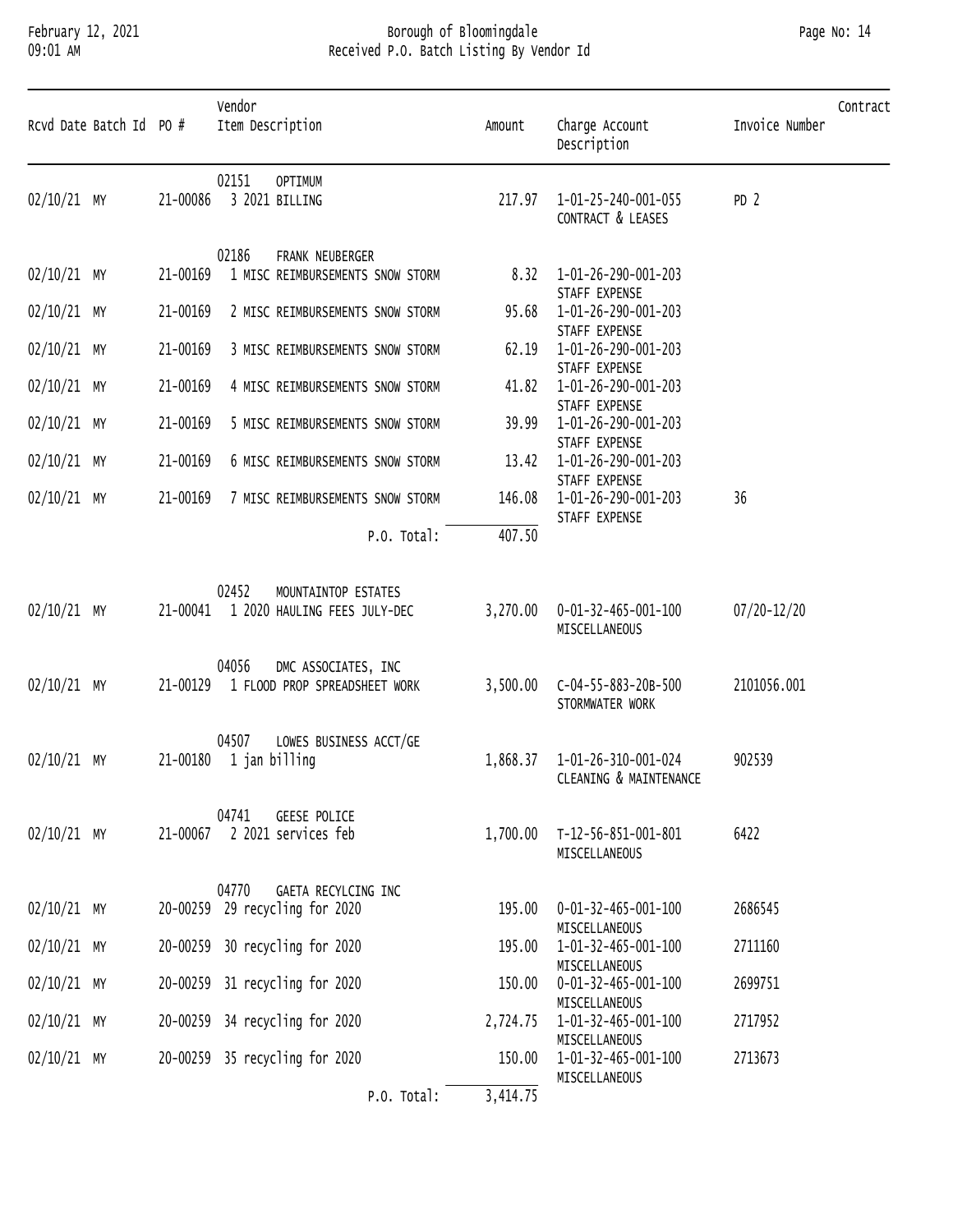### February 12, 2021 Borough of Bloomingdale Page No: 14 09:01 AM Received P.O. Batch Listing By Vendor Id

|               | Rcvd Date Batch Id PO # |          | Vendor<br>Item Description                                            | Amount   | Charge Account<br>Description                           | Contract<br>Invoice Number |
|---------------|-------------------------|----------|-----------------------------------------------------------------------|----------|---------------------------------------------------------|----------------------------|
| 02/10/21 MY   |                         | 21-00086 | 02151<br><b>OPTIMUM</b><br>3 2021 BILLING                             | 217.97   | 1-01-25-240-001-055<br>CONTRACT & LEASES                | PD <sub>2</sub>            |
| 02/10/21 MY   |                         | 21-00169 | 02186<br>FRANK NEUBERGER<br>1 MISC REIMBURSEMENTS SNOW STORM          | 8.32     | 1-01-26-290-001-203                                     |                            |
| $02/10/21$ MY |                         | 21-00169 | 2 MISC REIMBURSEMENTS SNOW STORM                                      | 95.68    | STAFF EXPENSE<br>1-01-26-290-001-203                    |                            |
| $02/10/21$ MY |                         | 21-00169 | 3 MISC REIMBURSEMENTS SNOW STORM                                      | 62.19    | STAFF EXPENSE<br>1-01-26-290-001-203<br>STAFF EXPENSE   |                            |
| $02/10/21$ MY |                         | 21-00169 | 4 MISC REIMBURSEMENTS SNOW STORM                                      | 41.82    | 1-01-26-290-001-203<br>STAFF EXPENSE                    |                            |
| 02/10/21 MY   |                         | 21-00169 | 5 MISC REIMBURSEMENTS SNOW STORM                                      | 39.99    | 1-01-26-290-001-203<br>STAFF EXPENSE                    |                            |
| $02/10/21$ MY |                         | 21-00169 | 6 MISC REIMBURSEMENTS SNOW STORM                                      | 13.42    | 1-01-26-290-001-203<br>STAFF EXPENSE                    |                            |
| $02/10/21$ MY |                         | 21-00169 | 7 MISC REIMBURSEMENTS SNOW STORM                                      | 146.08   | 1-01-26-290-001-203<br>STAFF EXPENSE                    | 36                         |
|               |                         |          | P.O. Total:                                                           | 407.50   |                                                         |                            |
| 02/10/21 MY   |                         |          | 02452<br>MOUNTAINTOP ESTATES<br>21-00041 1 2020 HAULING FEES JULY-DEC | 3,270.00 | 0-01-32-465-001-100<br>MISCELLANEOUS                    | $07/20 - 12/20$            |
| 02/10/21 MY   |                         | 21-00129 | 04056<br>DMC ASSOCIATES, INC<br>1 FLOOD PROP SPREADSHEET WORK         | 3,500.00 | C-04-55-883-20B-500<br>STORMWATER WORK                  | 2101056.001                |
| $02/10/21$ MY |                         |          | 04507<br>LOWES BUSINESS ACCT/GE<br>$21 - 00180$ 1 jan billing         |          | 1,868.37  1-01-26-310-001-024<br>CLEANING & MAINTENANCE | 902539                     |
| $02/10/21$ MY |                         | 21-00067 | 04741<br><b>GEESE POLICE</b><br>2 2021 services feb                   | 1,700.00 | T-12-56-851-001-801<br>MISCELLANEOUS                    | 6422                       |
| 02/10/21 MY   |                         |          | 04770<br>GAETA RECYLCING INC<br>20-00259 29 recycling for 2020        | 195.00   | 0-01-32-465-001-100                                     | 2686545                    |
| $02/10/21$ MY |                         |          | 20-00259 30 recycling for 2020                                        | 195.00   | MISCELLANEOUS<br>1-01-32-465-001-100                    | 2711160                    |
| $02/10/21$ MY |                         |          | 20-00259 31 recycling for 2020                                        | 150.00   | MISCELLANEOUS<br>0-01-32-465-001-100                    | 2699751                    |
| $02/10/21$ MY |                         |          | 20-00259 34 recycling for 2020                                        | 2,724.75 | MISCELLANEOUS<br>1-01-32-465-001-100<br>MISCELLANEOUS   | 2717952                    |
| $02/10/21$ MY |                         |          | 20-00259 35 recycling for 2020                                        | 150.00   | 1-01-32-465-001-100<br>MISCELLANEOUS                    | 2713673                    |
|               |                         |          | P.O. Total:                                                           | 3,414.75 |                                                         |                            |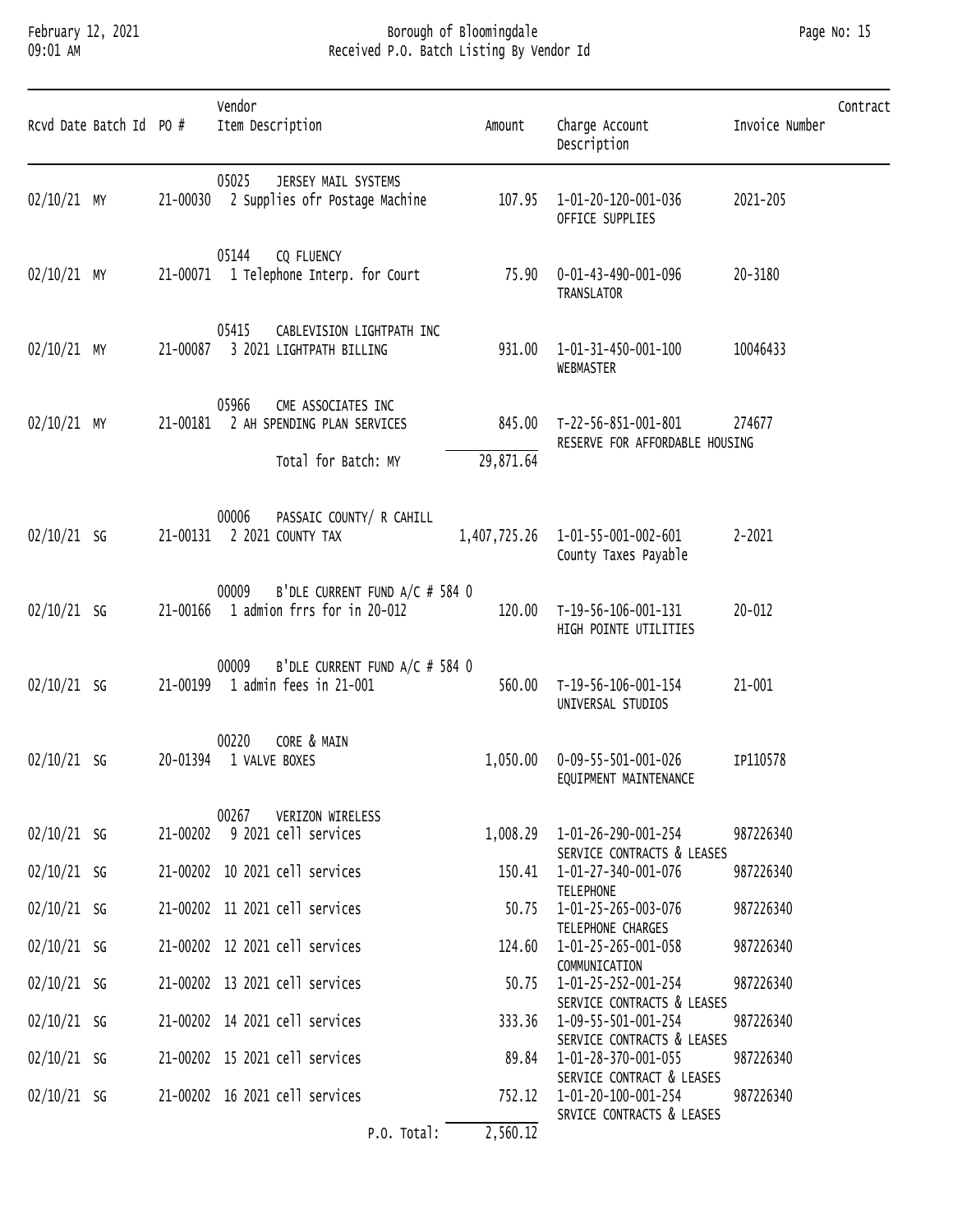### February 12, 2021 Borough of Bloomingdale Page No: 15 09:01 AM Received P.O. Batch Listing By Vendor Id

| Rcvd Date Batch Id PO # |          | Vendor<br>Item Description                                                                 | Amount              | Charge Account<br>Description                                                  | Invoice Number | Contract |
|-------------------------|----------|--------------------------------------------------------------------------------------------|---------------------|--------------------------------------------------------------------------------|----------------|----------|
| $02/10/21$ MY           |          | 05025<br>JERSEY MAIL SYSTEMS<br>21-00030 2 Supplies ofr Postage Machine                    | 107.95              | 1-01-20-120-001-036<br>OFFICE SUPPLIES                                         | 2021-205       |          |
| $02/10/21$ MY           |          | CQ FLUENCY<br>05144<br>21-00071 1 Telephone Interp. for Court                              |                     | 75.90  0-01-43-490-001-096<br>TRANSLATOR                                       | 20-3180        |          |
| $02/10/21$ MY           |          | 05415<br>CABLEVISION LIGHTPATH INC<br>21-00087 3 2021 LIGHTPATH BILLING                    | 931.00              | 1-01-31-450-001-100<br>WEBMASTER                                               | 10046433       |          |
| $02/10/21$ MY           |          | 05966<br>CME ASSOCIATES INC<br>21-00181 2 AH SPENDING PLAN SERVICES<br>Total for Batch: MY | 845.00<br>29,871.64 | T-22-56-851-001-801<br>RESERVE FOR AFFORDABLE HOUSING                          | 274677         |          |
| $02/10/21$ SG           |          | PASSAIC COUNTY/ R CAHILL<br>00006<br>21-00131 2 2021 COUNTY TAX                            | 1,407,725.26        | 1-01-55-001-002-601<br>County Taxes Payable                                    | $2 - 2021$     |          |
| $02/10/21$ SG           |          | B'DLE CURRENT FUND A/C # 584 0<br>00009<br>21-00166  1 admion frrs for in 20-012           | 120.00              | T-19-56-106-001-131<br>HIGH POINTE UTILITIES                                   | $20 - 012$     |          |
| $02/10/21$ SG           |          | B'DLE CURRENT FUND A/C # 584 0<br>00009<br>21-00199 1 admin fees in 21-001                 | 560.00              | T-19-56-106-001-154<br>UNIVERSAL STUDIOS                                       | 21-001         |          |
| $02/10/21$ SG           | 20-01394 | CORE & MAIN<br>00220<br>1 VALVE BOXES                                                      | 1,050.00            | 0-09-55-501-001-026<br>EQUIPMENT MAINTENANCE                                   | IP110578       |          |
| $02/10/21$ SG           |          | 00267<br>VERIZON WIRELESS<br>21-00202 9 2021 cell services                                 |                     | 1,008.29  1-01-26-290-001-254<br>SERVICE CONTRACTS & LEASES                    | 987226340      |          |
| $02/10/21$ SG           |          | 21-00202 10 2021 cell services                                                             | 150.41              | 1-01-27-340-001-076                                                            | 987226340      |          |
| $02/10/21$ SG           |          | 21-00202 11 2021 cell services                                                             | 50.75               | <b>TELEPHONE</b><br>1-01-25-265-003-076                                        | 987226340      |          |
| $02/10/21$ SG           |          | 21-00202 12 2021 cell services                                                             | 124.60              | TELEPHONE CHARGES<br>1-01-25-265-001-058                                       | 987226340      |          |
| $02/10/21$ SG           |          | 21-00202 13 2021 cell services                                                             | 50.75               | COMMUNICATION<br>1-01-25-252-001-254                                           | 987226340      |          |
| $02/10/21$ SG           |          | 21-00202 14 2021 cell services                                                             | 333.36              | SERVICE CONTRACTS & LEASES<br>1-09-55-501-001-254                              | 987226340      |          |
| $02/10/21$ SG           |          | 21-00202 15 2021 cell services                                                             | 89.84               | SERVICE CONTRACTS & LEASES<br>1-01-28-370-001-055<br>SERVICE CONTRACT & LEASES | 987226340      |          |
| $02/10/21$ SG           |          | 21-00202 16 2021 cell services                                                             | 752.12              | 1-01-20-100-001-254                                                            | 987226340      |          |
|                         |          | P.O. Total:                                                                                | 2,560.12            | SRVICE CONTRACTS & LEASES                                                      |                |          |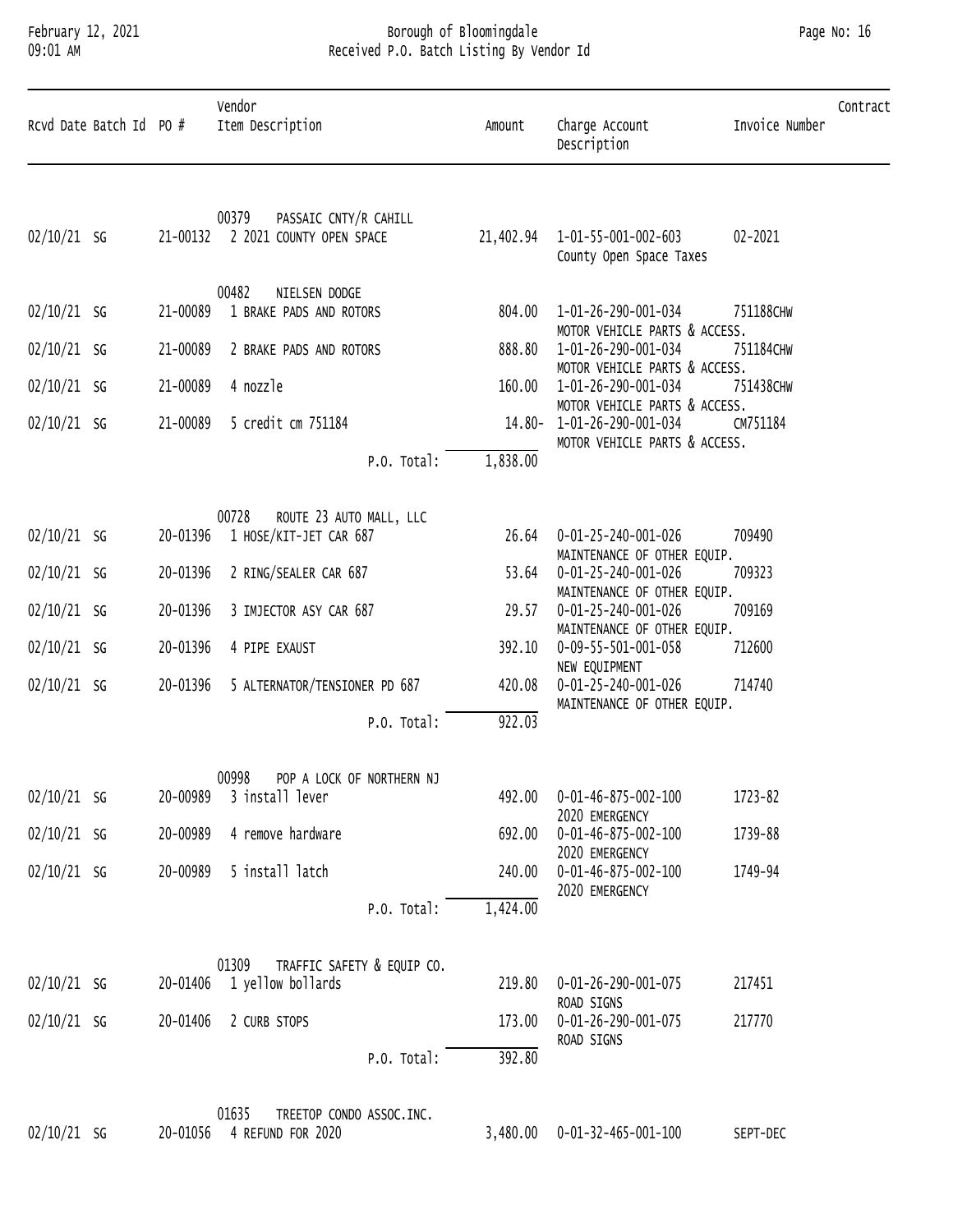### February 12, 2021 Borough of Bloomingdale Page No: 16 09:01 AM Received P.O. Batch Listing By Vendor Id

|               | Rcvd Date Batch Id PO # |          | Vendor<br>Item Description                                          | Amount    | Charge Account<br>Description                                                               | Invoice Number | Contract |
|---------------|-------------------------|----------|---------------------------------------------------------------------|-----------|---------------------------------------------------------------------------------------------|----------------|----------|
| $02/10/21$ SG |                         |          | PASSAIC CNTY/R CAHILL<br>00379<br>21-00132 2 2021 COUNTY OPEN SPACE | 21,402.94 | 1-01-55-001-002-603<br>County Open Space Taxes                                              | 02-2021        |          |
|               |                         |          | 00482<br>NIELSEN DODGE                                              |           |                                                                                             |                |          |
| $02/10/21$ SG |                         | 21-00089 | 1 BRAKE PADS AND ROTORS                                             | 804.00    | 1-01-26-290-001-034<br>MOTOR VEHICLE PARTS & ACCESS.                                        | 751188CHW      |          |
| $02/10/21$ SG |                         | 21-00089 | 2 BRAKE PADS AND ROTORS                                             | 888.80    | 1-01-26-290-001-034<br>MOTOR VEHICLE PARTS & ACCESS.                                        | 751184CHW      |          |
| $02/10/21$ SG |                         | 21-00089 | 4 nozzle                                                            | 160.00    | 1-01-26-290-001-034                                                                         | 751438CHW      |          |
| $02/10/21$ SG |                         | 21-00089 | 5 credit cm 751184                                                  |           | MOTOR VEHICLE PARTS & ACCESS.<br>14.80-1-01-26-290-001-034<br>MOTOR VEHICLE PARTS & ACCESS. | CM751184       |          |
|               |                         |          | P.O. Total:                                                         | 1,838.00  |                                                                                             |                |          |
|               |                         |          | 00728<br>ROUTE 23 AUTO MALL, LLC                                    |           |                                                                                             |                |          |
| $02/10/21$ SG |                         | 20-01396 | 1 HOSE/KIT-JET CAR 687                                              | 26.64     | 0-01-25-240-001-026<br>MAINTENANCE OF OTHER EQUIP.                                          | 709490         |          |
| $02/10/21$ SG |                         | 20-01396 | 2 RING/SEALER CAR 687                                               | 53.64     | 0-01-25-240-001-026<br>MAINTENANCE OF OTHER EQUIP.                                          | 709323         |          |
| $02/10/21$ SG |                         | 20-01396 | 3 IMJECTOR ASY CAR 687                                              | 29.57     | 0-01-25-240-001-026<br>MAINTENANCE OF OTHER EQUIP.                                          | 709169         |          |
| 02/10/21 SG   |                         | 20-01396 | 4 PIPE EXAUST                                                       | 392.10    | 0-09-55-501-001-058                                                                         | 712600         |          |
| $02/10/21$ SG |                         | 20-01396 | 5 ALTERNATOR/TENSIONER PD 687                                       | 420.08    | NEW EQUIPMENT<br>0-01-25-240-001-026<br>MAINTENANCE OF OTHER EQUIP.                         | 714740         |          |
|               |                         |          | P.O. Total:                                                         | 922.03    |                                                                                             |                |          |
| $02/10/21$ SG |                         | 20-00989 | 00998 POP A LOCK OF NORTHERN NJ<br>3 install lever                  | 492.00    | 0-01-46-875-002-100                                                                         | 1723-82        |          |
| $02/10/21$ SG |                         | 20-00989 | 4 remove hardware                                                   | 692.00    | 2020 EMERGENCY<br>$0 - 01 - 46 - 875 - 002 - 100$                                           | 1739-88        |          |
|               |                         |          |                                                                     |           | 2020 EMERGENCY                                                                              |                |          |
| $02/10/21$ SG |                         | 20-00989 | 5 install latch                                                     | 240.00    | 0-01-46-875-002-100<br>2020 EMERGENCY                                                       | 1749-94        |          |
|               |                         |          | P.O. Total:                                                         | 1,424.00  |                                                                                             |                |          |
| $02/10/21$ SG |                         |          | 01309<br>TRAFFIC SAFETY & EQUIP CO.<br>20-01406 1 yellow bollards   | 219.80    | 0-01-26-290-001-075<br>ROAD SIGNS                                                           | 217451         |          |
| $02/10/21$ SG |                         |          | 20-01406 2 CURB STOPS                                               | 173.00    | 0-01-26-290-001-075                                                                         | 217770         |          |
|               |                         |          | P.O. Total:                                                         | 392.80    | ROAD SIGNS                                                                                  |                |          |
|               |                         |          | 01635<br>TREETOP CONDO ASSOC.INC.                                   |           |                                                                                             |                |          |

| 02/10/21 SG | 20-01056 4 REFUND FOR 2020 | 480.00  0-01-32-465-001-100 | SEPT-DEC |
|-------------|----------------------------|-----------------------------|----------|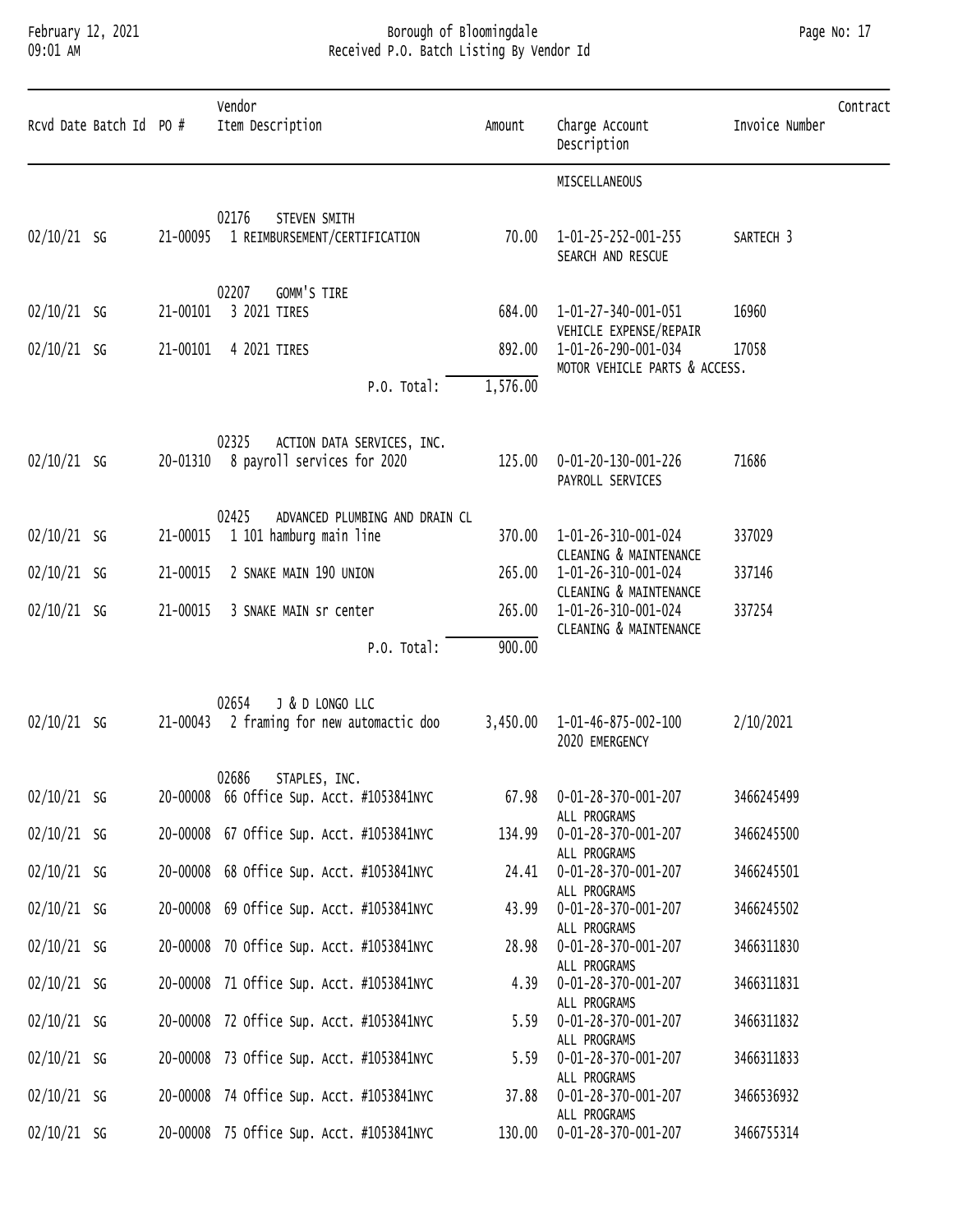#### February 12, 2021 Borough of Bloomingdale Page No: 17 09:01 AM Received P.O. Batch Listing By Vendor Id

| Page No: 17 |  |
|-------------|--|
|-------------|--|

| Rcvd Date Batch Id PO # |          | Vendor<br>Item Description                                         | Amount   | Charge Account<br>Description                                           | Contract<br>Invoice Number |  |
|-------------------------|----------|--------------------------------------------------------------------|----------|-------------------------------------------------------------------------|----------------------------|--|
|                         |          |                                                                    |          | MISCELLANEOUS                                                           |                            |  |
| $02/10/21$ SG           | 21-00095 | 02176<br>STEVEN SMITH<br>1 REIMBURSEMENT/CERTIFICATION             | 70.00    | 1-01-25-252-001-255<br>SEARCH AND RESCUE                                | SARTECH <sub>3</sub>       |  |
| $02/10/21$ SG           | 21-00101 | 02207<br>GOMM'S TIRE<br>3 2021 TIRES                               | 684.00   | 1-01-27-340-001-051                                                     | 16960                      |  |
| $02/10/21$ SG           | 21-00101 | 4 2021 TIRES                                                       | 892.00   | VEHICLE EXPENSE/REPAIR<br>1-01-26-290-001-034                           | 17058                      |  |
|                         |          | P.O. Total:                                                        | 1,576.00 | MOTOR VEHICLE PARTS & ACCESS.                                           |                            |  |
| $02/10/21$ SG           | 20-01310 | 02325<br>ACTION DATA SERVICES, INC.<br>8 payroll services for 2020 | 125.00   | 0-01-20-130-001-226<br>PAYROLL SERVICES                                 | 71686                      |  |
| $02/10/21$ SG           | 21-00015 | 02425<br>ADVANCED PLUMBING AND DRAIN CL<br>1 101 hamburg main line | 370.00   | 1-01-26-310-001-024                                                     | 337029                     |  |
| $02/10/21$ SG           | 21-00015 | 2 SNAKE MAIN 190 UNION                                             | 265.00   | CLEANING & MAINTENANCE<br>1-01-26-310-001-024                           | 337146                     |  |
| $02/10/21$ SG           | 21-00015 | 3 SNAKE MAIN sr center                                             | 265.00   | CLEANING & MAINTENANCE<br>1-01-26-310-001-024<br>CLEANING & MAINTENANCE | 337254                     |  |
|                         |          | P.O. Total:<br>J & D LONGO LLC<br>02654                            | 900.00   |                                                                         |                            |  |
| $02/10/21$ SG           | 21-00043 | 2 framing for new automactic doo                                   |          | 3,450.00  1-01-46-875-002-100<br>2020 EMERGENCY                         | 2/10/2021                  |  |
| $02/10/21$ SG           |          | 02686 STAPLES, INC.<br>20-00008 66 Office Sup. Acct. #1053841NYC   |          | 67.98  0-01-28-370-001-207                                              | 3466245499                 |  |
| $02/10/21$ SG           |          | 20-00008 67 Office Sup. Acct. #1053841NYC                          | 134.99   | ALL PROGRAMS<br>0-01-28-370-001-207                                     | 3466245500                 |  |
| $02/10/21$ SG           |          | 20-00008 68 Office Sup. Acct. #1053841NYC                          | 24.41    | ALL PROGRAMS<br>0-01-28-370-001-207<br>ALL PROGRAMS                     | 3466245501                 |  |
| $02/10/21$ SG           |          | 20-00008 69 Office Sup. Acct. #1053841NYC                          | 43.99    | 0-01-28-370-001-207<br>ALL PROGRAMS                                     | 3466245502                 |  |
| $02/10/21$ SG           |          | 20-00008 70 Office Sup. Acct. #1053841NYC                          | 28.98    | 0-01-28-370-001-207<br>ALL PROGRAMS                                     | 3466311830                 |  |
| $02/10/21$ SG           |          | 20-00008 71 Office Sup. Acct. #1053841NYC                          | 4.39     | 0-01-28-370-001-207<br>ALL PROGRAMS                                     | 3466311831                 |  |
| $02/10/21$ SG           |          | 20-00008 72 Office Sup. Acct. #1053841NYC                          | 5.59     | 0-01-28-370-001-207<br>ALL PROGRAMS                                     | 3466311832                 |  |
| $02/10/21$ SG           |          | 20-00008 73 Office Sup. Acct. #1053841NYC                          | 5.59     | 0-01-28-370-001-207<br>ALL PROGRAMS                                     | 3466311833                 |  |
| $02/10/21$ SG           |          | 20-00008 74 Office Sup. Acct. #1053841NYC                          | 37.88    | 0-01-28-370-001-207<br>ALL PROGRAMS                                     | 3466536932                 |  |
| $02/10/21$ SG           |          | 20-00008 75 Office Sup. Acct. #1053841NYC                          | 130.00   | 0-01-28-370-001-207                                                     | 3466755314                 |  |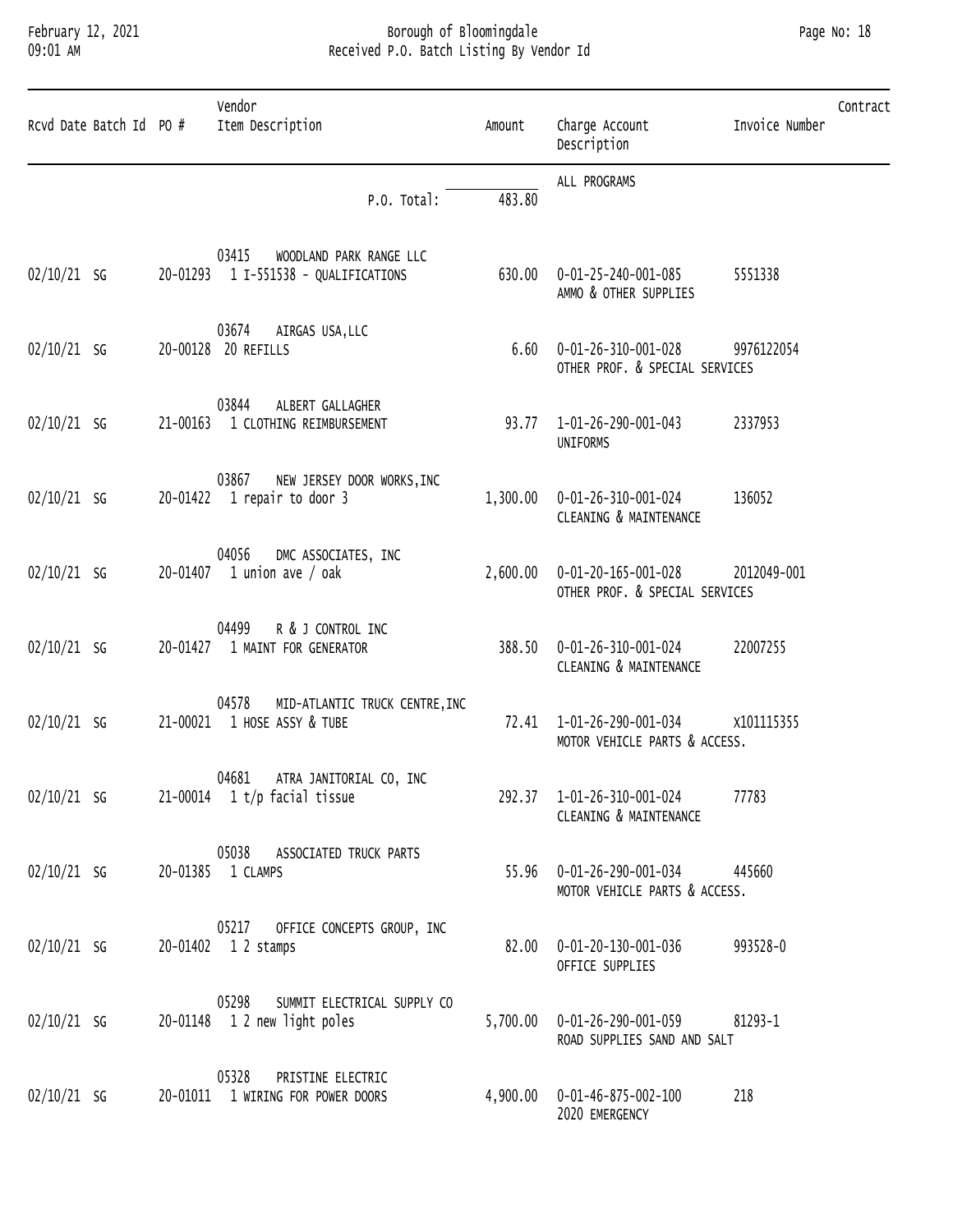#### February 12, 2021 Borough of Bloomingdale Page No: 18 09:01 AM Received P.O. Batch Listing By Vendor Id

| Rcvd Date Batch Id PO # | Vendor<br>Item Description                                                | Amount   | Charge Account<br>Description                                   | Invoice Number | Contract |
|-------------------------|---------------------------------------------------------------------------|----------|-----------------------------------------------------------------|----------------|----------|
|                         | P.O. Total:                                                               | 483.80   | ALL PROGRAMS                                                    |                |          |
| $02/10/21$ SG           | 03415<br>WOODLAND PARK RANGE LLC<br>20-01293  1 I-551538 - QUALIFICATIONS |          | 630.00  0-01-25-240-001-085<br>AMMO & OTHER SUPPLIES            | 5551338        |          |
| $02/10/21$ SG           | 03674<br>AIRGAS USA, LLC<br>20-00128 20 REFILLS                           |          | $6.60$ $0-01-26-310-001-028$<br>OTHER PROF. & SPECIAL SERVICES  | 9976122054     |          |
| $02/10/21$ SG           | 03844<br>ALBERT GALLAGHER<br>21-00163 1 CLOTHING REIMBURSEMENT            |          | 93.77  1-01-26-290-001-043<br>UNIFORMS                          | 2337953        |          |
| $02/10/21$ SG           | 03867<br>NEW JERSEY DOOR WORKS, INC<br>$20-01422$ 1 repair to door 3      | 1,300.00 | 0-01-26-310-001-024<br>CLEANING & MAINTENANCE                   | 136052         |          |
| $02/10/21$ SG           | 04056<br>DMC ASSOCIATES, INC<br>20-01407 1 union ave / oak                |          | 2,600.00  0-01-20-165-001-028<br>OTHER PROF. & SPECIAL SERVICES | 2012049-001    |          |
| $02/10/21$ SG           | 04499<br>R & J CONTROL INC<br>20-01427 1 MAINT FOR GENERATOR              | 388.50   | 0-01-26-310-001-024<br>CLEANING & MAINTENANCE                   | 22007255       |          |
| $02/10/21$ SG           | 04578<br>MID-ATLANTIC TRUCK CENTRE, INC<br>21-00021 1 HOSE ASSY & TUBE    |          | 72.41  1-01-26-290-001-034<br>MOTOR VEHICLE PARTS & ACCESS.     | X101115355     |          |
| $02/10/21$ SG           | 04681 ATRA JANITORIAL CO, INC<br>$21-00014$ 1 t/p facial tissue           |          | 292.37 1-01-26-310-001-024<br>CLEANING & MAINTENANCE            | 77783          |          |
| $02/10/21$ SG           | 05038<br>ASSOCIATED TRUCK PARTS<br>20-01385 1 CLAMPS                      |          | 55.96  0-01-26-290-001-034<br>MOTOR VEHICLE PARTS & ACCESS.     | 445660         |          |
| $02/10/21$ SG           | 05217<br>OFFICE CONCEPTS GROUP, INC<br>20-01402 1 2 stamps                | 82.00    | 0-01-20-130-001-036<br>OFFICE SUPPLIES                          | 993528-0       |          |
| $02/10/21$ SG           | 05298<br>SUMMIT ELECTRICAL SUPPLY CO<br>20-01148 1 2 new light poles      | 5,700.00 | 0-01-26-290-001-059<br>ROAD SUPPLIES SAND AND SALT              | 81293-1        |          |
| $02/10/21$ SG           | 05328<br>PRISTINE ELECTRIC<br>20-01011 1 WIRING FOR POWER DOORS           | 4,900.00 | 0-01-46-875-002-100<br>2020 EMERGENCY                           | 218            |          |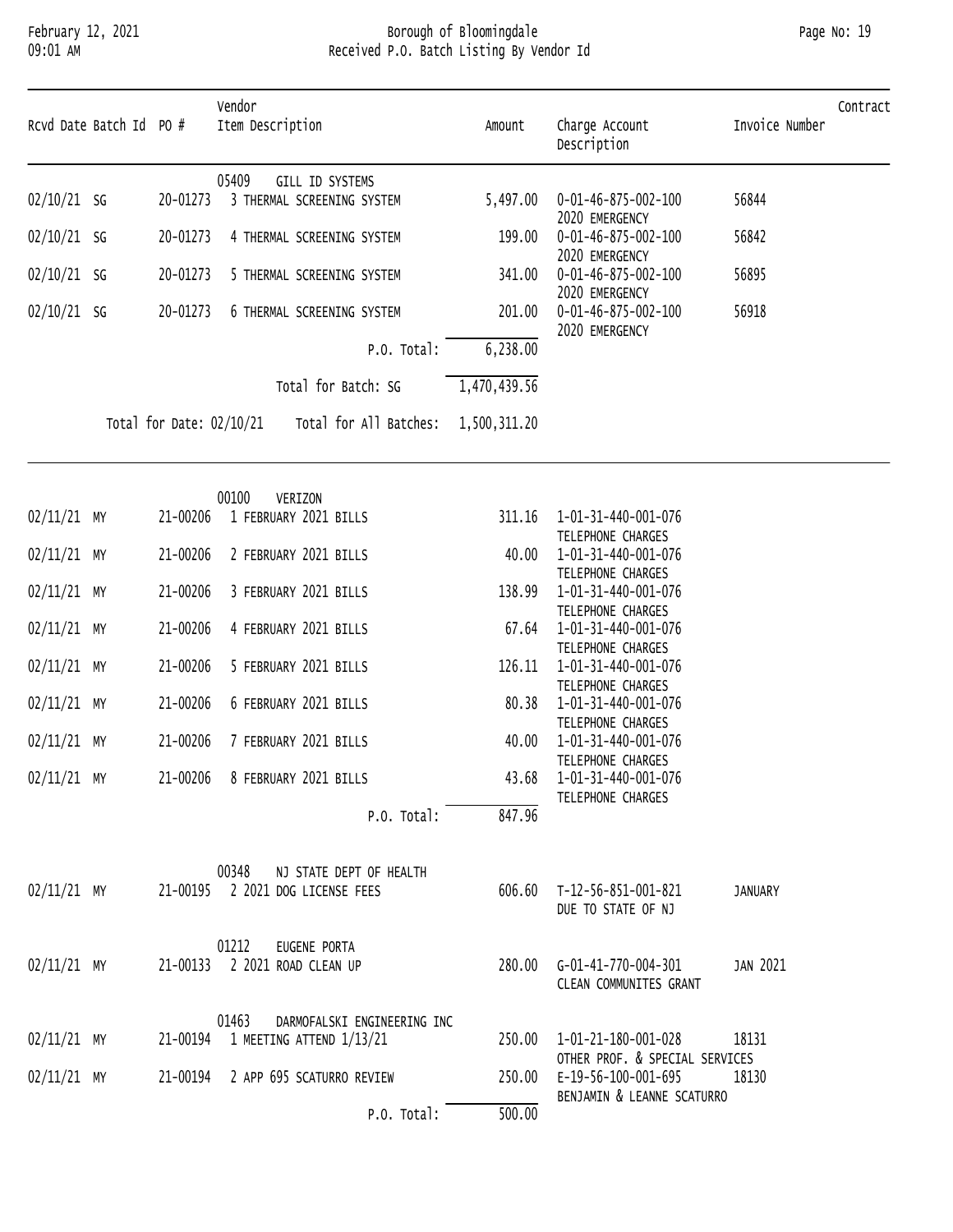### February 12, 2021 Borough of Bloomingdale Page No: 19 09:01 AM Received P.O. Batch Listing By Vendor Id

| Rcvd Date Batch Id PO # |                          | Vendor<br>Item Description                                           | Amount       | Charge Account<br>Description                         | Invoice Number | Contract |
|-------------------------|--------------------------|----------------------------------------------------------------------|--------------|-------------------------------------------------------|----------------|----------|
| $02/10/21$ SG           | 20-01273                 | 05409<br>GILL ID SYSTEMS<br>3 THERMAL SCREENING SYSTEM               | 5,497.00     | 0-01-46-875-002-100                                   | 56844          |          |
| $02/10/21$ SG           | 20-01273                 | 4 THERMAL SCREENING SYSTEM                                           | 199.00       | 2020 EMERGENCY<br>0-01-46-875-002-100                 | 56842          |          |
|                         |                          |                                                                      |              | 2020 EMERGENCY                                        |                |          |
| $02/10/21$ SG           | 20-01273                 | 5 THERMAL SCREENING SYSTEM                                           | 341.00       | 0-01-46-875-002-100<br>2020 EMERGENCY                 | 56895          |          |
| $02/10/21$ SG           | 20-01273                 | 6 THERMAL SCREENING SYSTEM                                           | 201.00       | 0-01-46-875-002-100<br>2020 EMERGENCY                 | 56918          |          |
|                         |                          | P.O. Total:                                                          | 6,238.00     |                                                       |                |          |
|                         |                          | Total for Batch: SG                                                  | 1,470,439.56 |                                                       |                |          |
|                         | Total for Date: 02/10/21 | Total for All Batches:                                               | 1,500,311.20 |                                                       |                |          |
|                         |                          | 00100<br>VERIZON                                                     |              |                                                       |                |          |
| $02/11/21$ MY           | 21-00206                 | 1 FEBRUARY 2021 BILLS                                                | 311.16       | 1-01-31-440-001-076<br>TELEPHONE CHARGES              |                |          |
| 02/11/21 MY             | 21-00206                 | 2 FEBRUARY 2021 BILLS                                                | 40.00        | 1-01-31-440-001-076                                   |                |          |
| $02/11/21$ MY           | 21-00206                 | 3 FEBRUARY 2021 BILLS                                                | 138.99       | TELEPHONE CHARGES<br>1-01-31-440-001-076              |                |          |
| $02/11/21$ MY           | 21-00206                 | 4 FEBRUARY 2021 BILLS                                                | 67.64        | TELEPHONE CHARGES<br>1-01-31-440-001-076              |                |          |
| $02/11/21$ MY           | 21-00206                 | 5 FEBRUARY 2021 BILLS                                                | 126.11       | TELEPHONE CHARGES<br>1-01-31-440-001-076              |                |          |
| $02/11/21$ MY           | 21-00206                 | 6 FEBRUARY 2021 BILLS                                                | 80.38        | TELEPHONE CHARGES<br>1-01-31-440-001-076              |                |          |
|                         |                          |                                                                      |              | TELEPHONE CHARGES                                     |                |          |
| $02/11/21$ MY           | 21-00206                 | 7 FEBRUARY 2021 BILLS                                                | 40.00        | 1-01-31-440-001-076<br>TELEPHONE CHARGES              |                |          |
| $02/11/21$ MY           | 21-00206                 | 8 FEBRUARY 2021 BILLS                                                | 43.68        | 1-01-31-440-001-076<br>TELEPHONE CHARGES              |                |          |
|                         |                          | P.O. Total:                                                          | 847.96       |                                                       |                |          |
| $02/11/21$ MY           |                          | 00348<br>NJ STATE DEPT OF HEALTH<br>21-00195 2 2021 DOG LICENSE FEES | 606.60       | T-12-56-851-001-821<br>DUE TO STATE OF NJ             | JANUARY        |          |
|                         |                          | 01212<br>EUGENE PORTA                                                |              |                                                       |                |          |
| $02/11/21$ MY           |                          | 21-00133 2 2021 ROAD CLEAN UP                                        |              | 280.00 G-01-41-770-004-301<br>CLEAN COMMUNITES GRANT  | JAN 2021       |          |
| $02/11/21$ MY           | 21-00194                 | 01463<br>DARMOFALSKI ENGINEERING INC<br>1 MEETING ATTEND 1/13/21     | 250.00       | 1-01-21-180-001-028<br>OTHER PROF. & SPECIAL SERVICES | 18131          |          |
| $02/11/21$ MY           | 21-00194                 | 2 APP 695 SCATURRO REVIEW                                            | 250.00       | E-19-56-100-001-695<br>BENJAMIN & LEANNE SCATURRO     | 18130          |          |
|                         |                          | P.O. Total:                                                          | 500.00       |                                                       |                |          |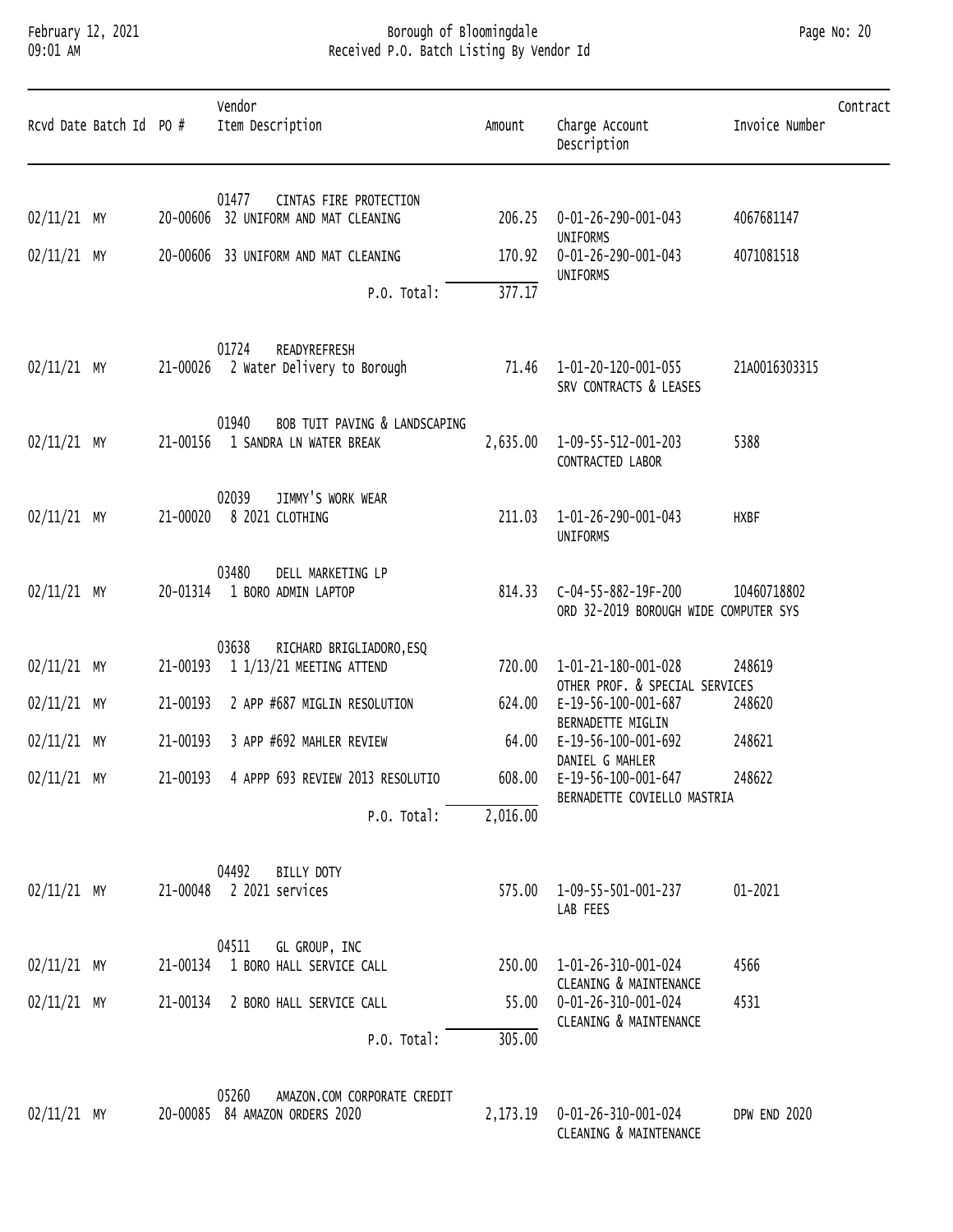### February 12, 2021 Borough of Bloomingdale Page No: 20 09:01 AM Received P.O. Batch Listing By Vendor Id

|               | Rcvd Date Batch Id PO # |          | Vendor<br>Item Description                                              | Amount   | Charge Account<br>Description                                | Invoice Number | Contract |
|---------------|-------------------------|----------|-------------------------------------------------------------------------|----------|--------------------------------------------------------------|----------------|----------|
| 02/11/21 MY   |                         |          | 01477<br>CINTAS FIRE PROTECTION<br>20-00606 32 UNIFORM AND MAT CLEANING |          | 0-01-26-290-001-043                                          | 4067681147     |          |
|               |                         |          |                                                                         | 206.25   | UNIFORMS                                                     |                |          |
| 02/11/21 MY   |                         |          | 20-00606 33 UNIFORM AND MAT CLEANING                                    | 170.92   | 0-01-26-290-001-043<br>UNIFORMS                              | 4071081518     |          |
|               |                         |          | P.O. Total:                                                             | 377.17   |                                                              |                |          |
| $02/11/21$ MY |                         |          | 01724<br>READYREFRESH<br>21-00026 2 Water Delivery to Borough           |          | 71.46  1-01-20-120-001-055<br>SRV CONTRACTS & LEASES         | 21A0016303315  |          |
| 02/11/21 MY   |                         | 21-00156 | 01940<br>BOB TUIT PAVING & LANDSCAPING<br>1 SANDRA LN WATER BREAK       | 2,635.00 | 1-09-55-512-001-203<br>CONTRACTED LABOR                      | 5388           |          |
| 02/11/21 MY   |                         | 21-00020 | 02039<br>JIMMY'S WORK WEAR<br>8 2021 CLOTHING                           | 211.03   | 1-01-26-290-001-043<br><b>UNIFORMS</b>                       | <b>HXBF</b>    |          |
| 02/11/21 MY   |                         |          | 03480<br>DELL MARKETING LP<br>20-01314 1 BORO ADMIN LAPTOP              | 814.33   | C-04-55-882-19F-200<br>ORD 32-2019 BOROUGH WIDE COMPUTER SYS | 10460718802    |          |
|               |                         |          | 03638<br>RICHARD BRIGLIADORO, ESQ                                       |          |                                                              |                |          |
| 02/11/21 MY   |                         |          | 21-00193 1 1/13/21 MEETING ATTEND                                       | 720.00   | 1-01-21-180-001-028<br>OTHER PROF. & SPECIAL SERVICES        | 248619         |          |
| 02/11/21 MY   |                         | 21-00193 | 2 APP #687 MIGLIN RESOLUTION                                            | 624.00   | E-19-56-100-001-687                                          | 248620         |          |
| 02/11/21 MY   |                         | 21-00193 | 3 APP #692 MAHLER REVIEW                                                | 64.00    | BERNADETTE MIGLIN<br>E-19-56-100-001-692                     | 248621         |          |
| $02/11/21$ MY |                         |          | 21-00193 4 APPP 693 REVIEW 2013 RESOLUTIO                               |          | DANIEL G MAHLER<br>608.00 E-19-56-100-001-647                | 248622         |          |
|               |                         |          | P.O. Total:                                                             | 2,016.00 | BERNADETTE COVIELLO MASTRIA                                  |                |          |
| 02/11/21 MY   |                         |          | 04492<br>BILLY DOTY<br>21-00048 2 2021 services                         | 575.00   | 1-09-55-501-001-237<br>LAB FEES                              | 01-2021        |          |
| 02/11/21 MY   |                         |          | 04511<br>GL GROUP, INC<br>21-00134 1 BORO HALL SERVICE CALL             | 250.00   | 1-01-26-310-001-024                                          | 4566           |          |
| 02/11/21 MY   |                         | 21-00134 | 2 BORO HALL SERVICE CALL                                                | 55.00    | CLEANING & MAINTENANCE<br>0-01-26-310-001-024                | 4531           |          |
|               |                         |          | P.O. Total:                                                             | 305.00   | CLEANING & MAINTENANCE                                       |                |          |
|               |                         |          | 05260<br>AMAZON.COM CORPORATE CREDIT                                    |          |                                                              |                |          |

|               | <b>UJZOU</b><br>AMAZUN.CUM CURPURAIE CREDII |            |                        |              |  |
|---------------|---------------------------------------------|------------|------------------------|--------------|--|
| $02/11/21$ MY | 84 AMAZON ORDERS 2020<br>20-00085           | ., 173. 19 | 0-01-26-310-001-024    | DPW END 2020 |  |
|               |                                             |            | CLEANING & MAINTENANCE |              |  |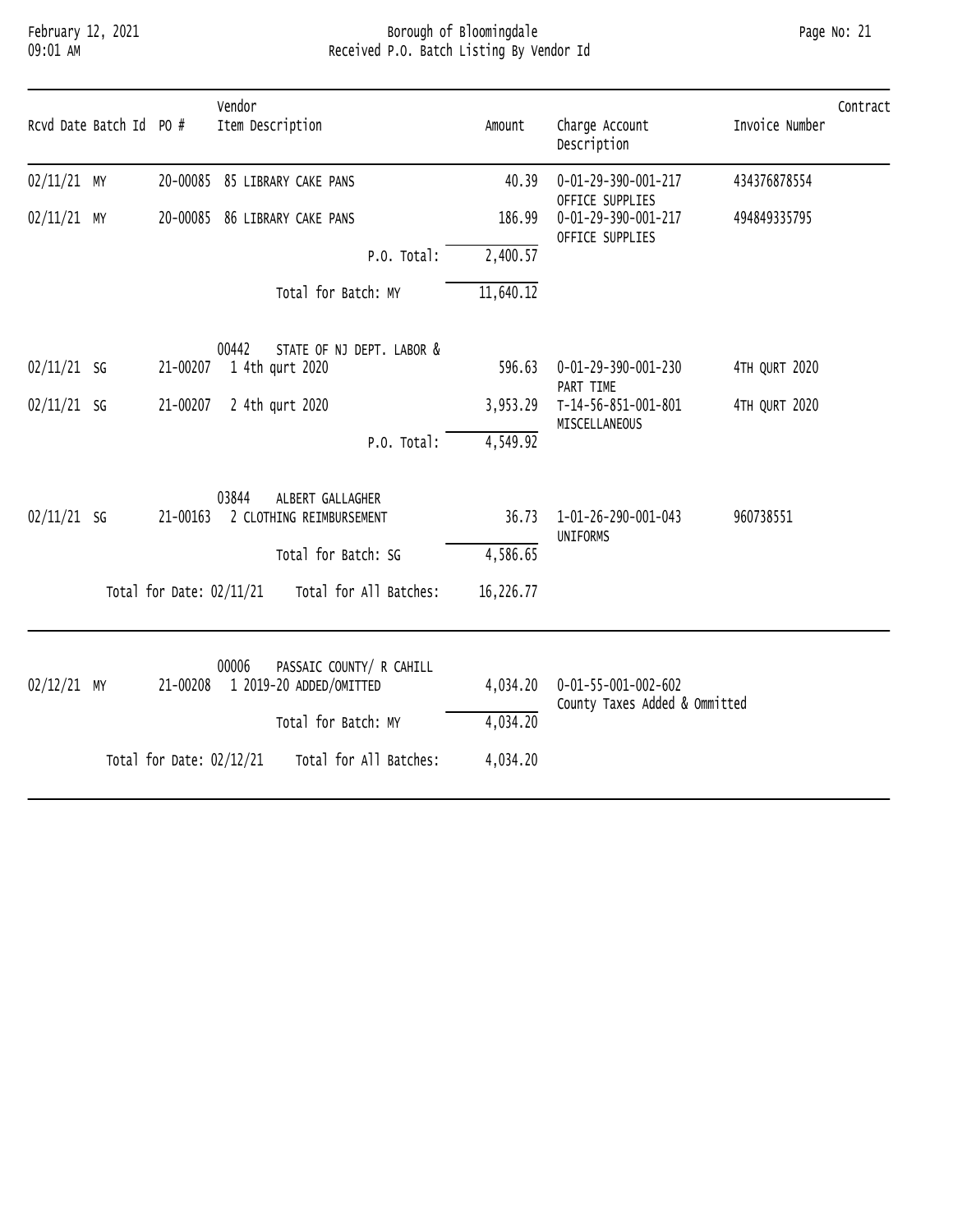# February 12, 2021 Borough of Bloomingdale Page No: 21 09:01 AM Received P.O. Batch Listing By Vendor Id

| Rcvd Date Batch Id PO # |                            | Vendor<br>Item Description                            | Amount    | Charge Account<br>Description                                    | Invoice Number | Contract |
|-------------------------|----------------------------|-------------------------------------------------------|-----------|------------------------------------------------------------------|----------------|----------|
| $02/11/21$ MY           |                            | 20-00085 85 LIBRARY CAKE PANS                         | 40.39     | 0-01-29-390-001-217<br>OFFICE SUPPLIES                           | 434376878554   |          |
| $02/11/21$ MY           |                            | 20-00085 86 LIBRARY CAKE PANS                         | 186.99    | 0-01-29-390-001-217<br>OFFICE SUPPLIES                           | 494849335795   |          |
|                         |                            | P.O. Total:                                           | 2,400.57  |                                                                  |                |          |
|                         |                            | Total for Batch: MY                                   | 11,640.12 |                                                                  |                |          |
| $02/11/21$ SG           | 21-00207                   | 00442<br>STATE OF NJ DEPT. LABOR &<br>1 4th qurt 2020 | 596.63    | 0-01-29-390-001-230                                              | 4TH QURT 2020  |          |
|                         |                            |                                                       |           | PART TIME                                                        |                |          |
| $02/11/21$ SG           | 21-00207                   | 2 4th qurt 2020                                       | 3,953.29  | T-14-56-851-001-801<br>MISCELLANEOUS                             | 4TH QURT 2020  |          |
|                         |                            | P.O. Total:                                           | 4,549.92  |                                                                  |                |          |
| $02/11/21$ SG           | 21-00163                   | 03844<br>ALBERT GALLAGHER<br>2 CLOTHING REIMBURSEMENT | 36.73     | 1-01-26-290-001-043<br>UNIFORMS                                  | 960738551      |          |
|                         |                            | Total for Batch: SG                                   | 4,586.65  |                                                                  |                |          |
|                         | Total for Date: 02/11/21   | Total for All Batches:                                | 16,226.77 |                                                                  |                |          |
|                         |                            | 00006<br>PASSAIC COUNTY/ R CAHILL                     |           |                                                                  |                |          |
| 02/12/21 MY             | 21-00208                   | 1 2019-20 ADDED/OMITTED                               | 4,034.20  | $0 - 01 - 55 - 001 - 002 - 602$<br>County Taxes Added & Ommitted |                |          |
|                         |                            | Total for Batch: MY                                   | 4,034.20  |                                                                  |                |          |
|                         | Total for Date: $02/12/21$ | Total for All Batches:                                | 4,034.20  |                                                                  |                |          |
|                         |                            |                                                       |           |                                                                  |                |          |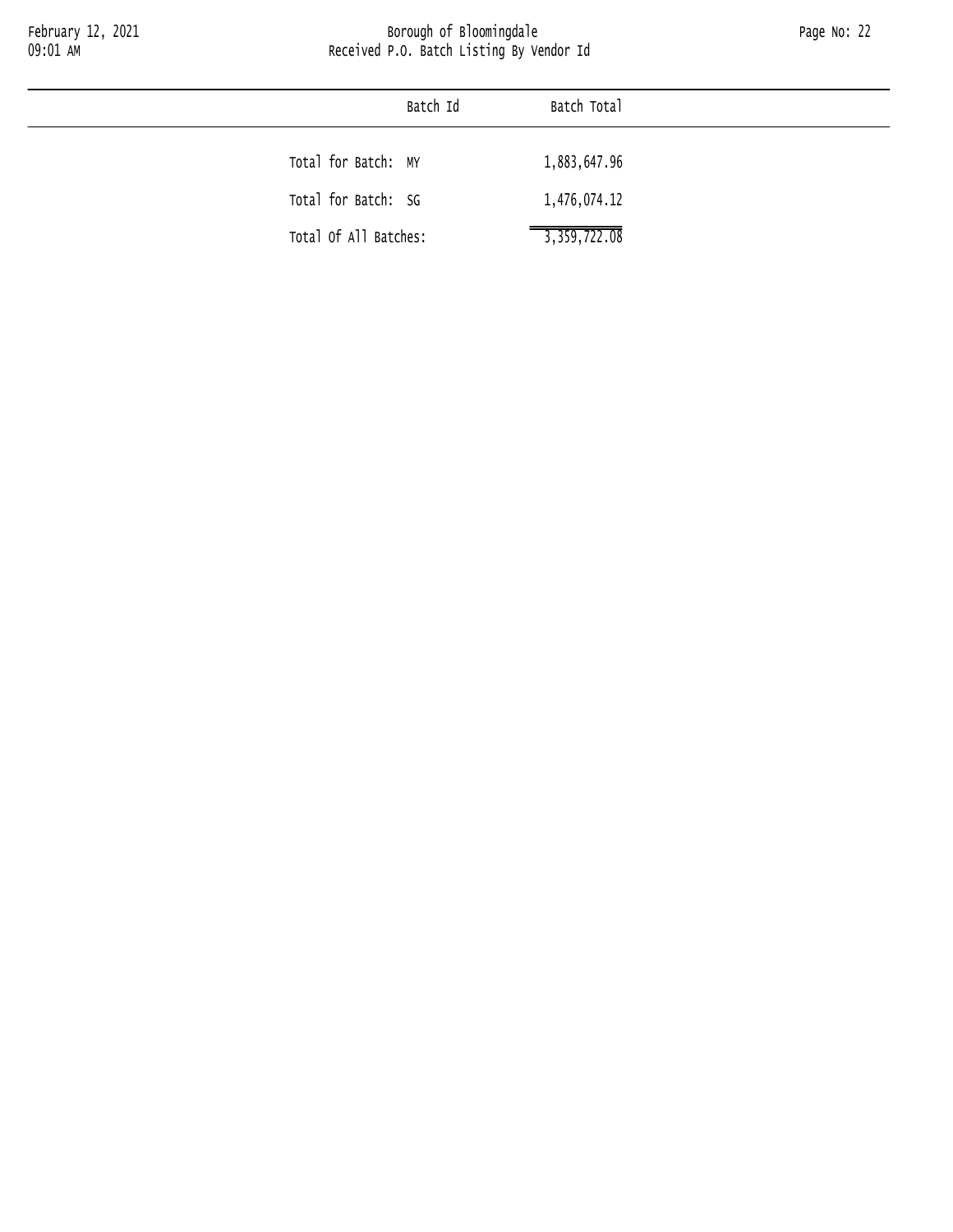|                       | Batch Id | Batch Total  |  |
|-----------------------|----------|--------------|--|
| Total for Batch: MY   |          | 1,883,647.96 |  |
| Total for Batch: SG   |          | 1,476,074.12 |  |
| Total Of All Batches: |          | 3,359,722.08 |  |